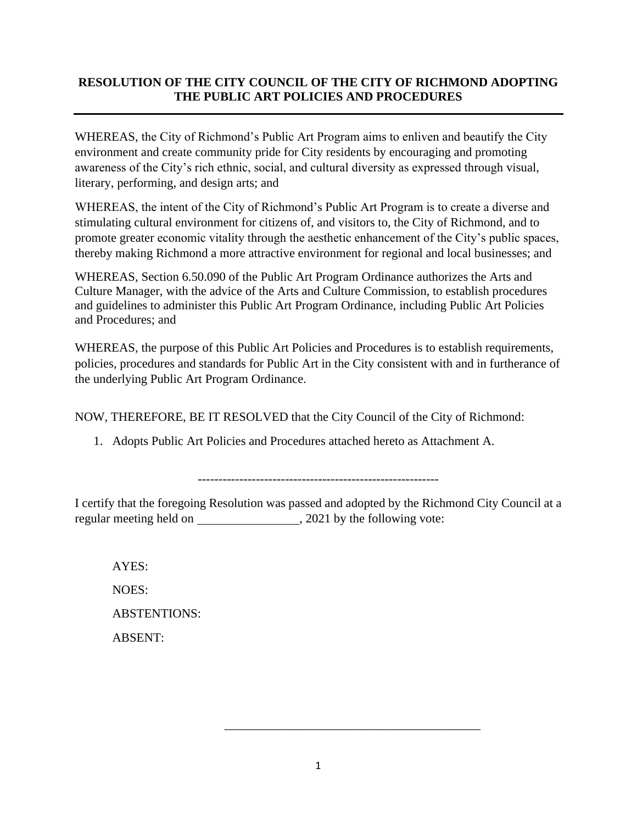## **RESOLUTION OF THE CITY COUNCIL OF THE CITY OF RICHMOND ADOPTING THE PUBLIC ART POLICIES AND PROCEDURES**

WHEREAS, the City of Richmond's Public Art Program aims to enliven and beautify the City environment and create community pride for City residents by encouraging and promoting awareness of the City's rich ethnic, social, and cultural diversity as expressed through visual, literary, performing, and design arts; and

WHEREAS, the intent of the City of Richmond's Public Art Program is to create a diverse and stimulating cultural environment for citizens of, and visitors to, the City of Richmond, and to promote greater economic vitality through the aesthetic enhancement of the City's public spaces, thereby making Richmond a more attractive environment for regional and local businesses; and

WHEREAS, Section 6.50.090 of the Public Art Program Ordinance authorizes the Arts and Culture Manager, with the advice of the Arts and Culture Commission, to establish procedures and guidelines to administer this Public Art Program Ordinance, including Public Art Policies and Procedures; and

WHEREAS, the purpose of this Public Art Policies and Procedures is to establish requirements, policies, procedures and standards for Public Art in the City consistent with and in furtherance of the underlying Public Art Program Ordinance.

NOW, THEREFORE, BE IT RESOLVED that the City Council of the City of Richmond:

1. Adopts Public Art Policies and Procedures attached hereto as Attachment A.

----------------------------------------------------------

I certify that the foregoing Resolution was passed and adopted by the Richmond City Council at a regular meeting held on  $\qquad \qquad .2021$  by the following vote:

AYES: NOES: ABSTENTIONS: ABSENT:

\_\_\_\_\_\_\_\_\_\_\_\_\_\_\_\_\_\_\_\_\_\_\_\_\_\_\_\_\_\_\_\_\_\_\_\_\_\_\_\_\_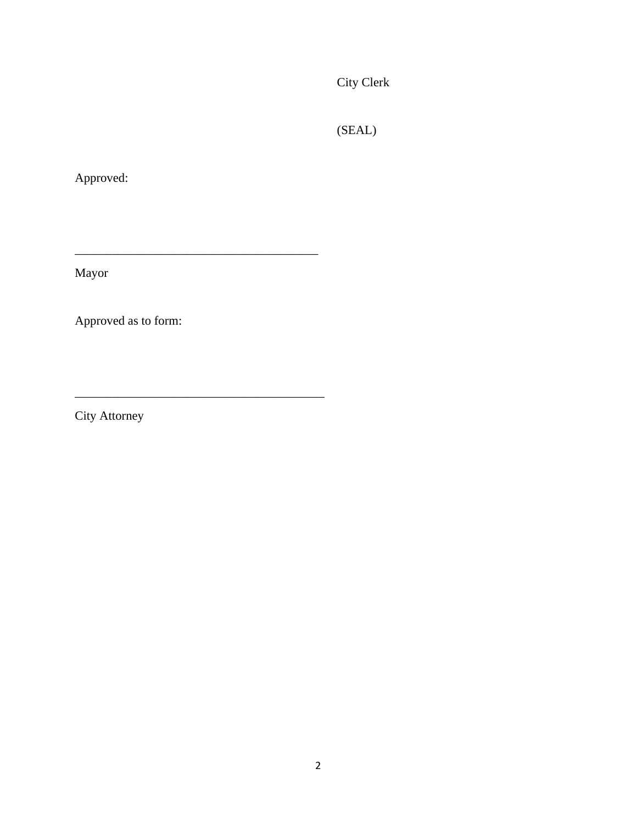City Clerk

(SEAL)

Approved:

Mayor

Approved as to form:

\_\_\_\_\_\_\_\_\_\_\_\_\_\_\_\_\_\_\_\_\_\_\_\_\_\_\_\_\_\_\_\_\_\_\_\_\_\_\_

\_\_\_\_\_\_\_\_\_\_\_\_\_\_\_\_\_\_\_\_\_\_\_\_\_\_\_\_\_\_\_\_\_\_\_\_\_\_\_\_

City Attorney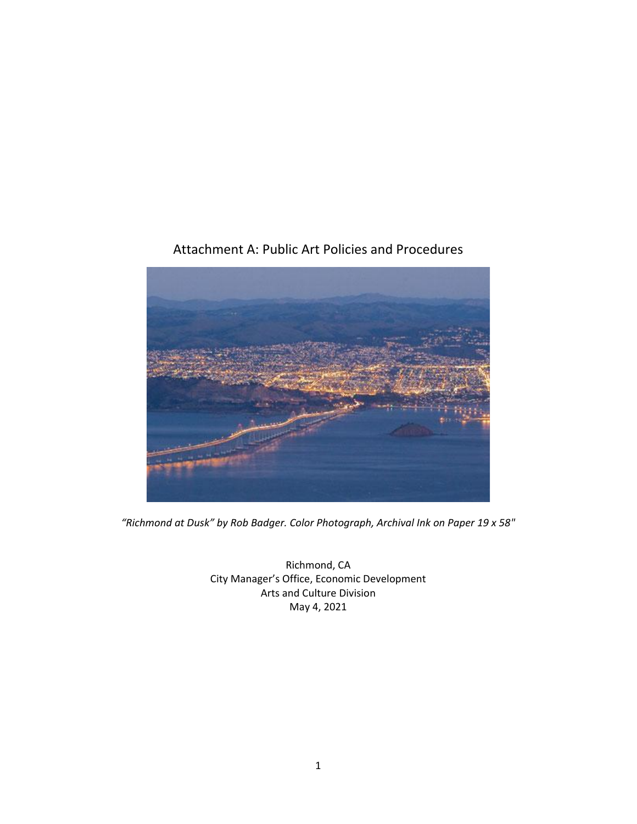

# Attachment A: Public Art Policies and Procedures

*"Richmond at Dusk" by Rob Badger. Color Photograph, Archival Ink on Paper 19 x 58"*

Richmond, CA City Manager's Office, Economic Development Arts and Culture Division May 4, 2021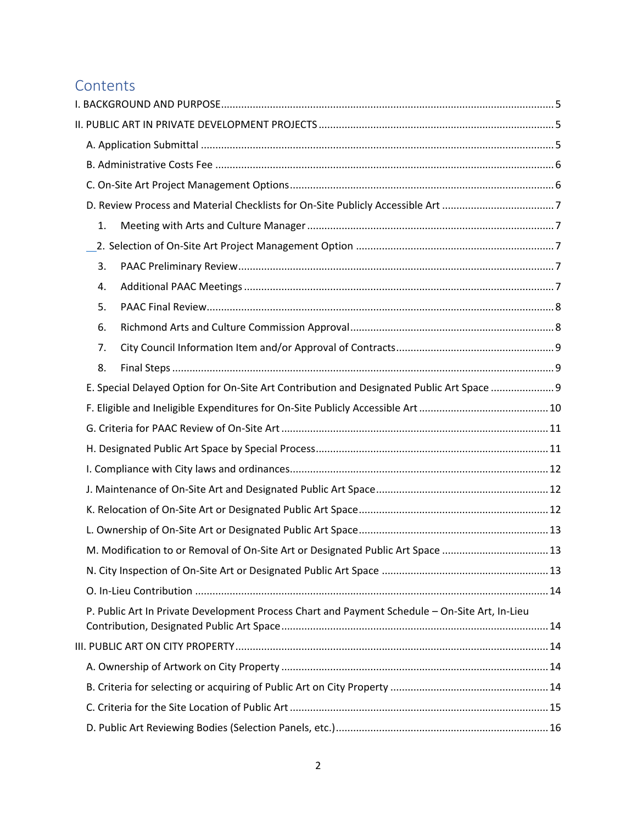# **Contents**

| 1. |                                                                                                |  |
|----|------------------------------------------------------------------------------------------------|--|
|    |                                                                                                |  |
| 3. |                                                                                                |  |
| 4. |                                                                                                |  |
| 5. |                                                                                                |  |
| 6. |                                                                                                |  |
| 7. |                                                                                                |  |
| 8. |                                                                                                |  |
|    | E. Special Delayed Option for On-Site Art Contribution and Designated Public Art Space  9      |  |
|    |                                                                                                |  |
|    |                                                                                                |  |
|    |                                                                                                |  |
|    |                                                                                                |  |
|    |                                                                                                |  |
|    |                                                                                                |  |
|    |                                                                                                |  |
|    | M. Modification to or Removal of On-Site Art or Designated Public Art Space  13                |  |
|    |                                                                                                |  |
|    |                                                                                                |  |
|    | P. Public Art In Private Development Process Chart and Payment Schedule - On-Site Art, In-Lieu |  |
|    |                                                                                                |  |
|    |                                                                                                |  |
|    |                                                                                                |  |
|    |                                                                                                |  |
|    |                                                                                                |  |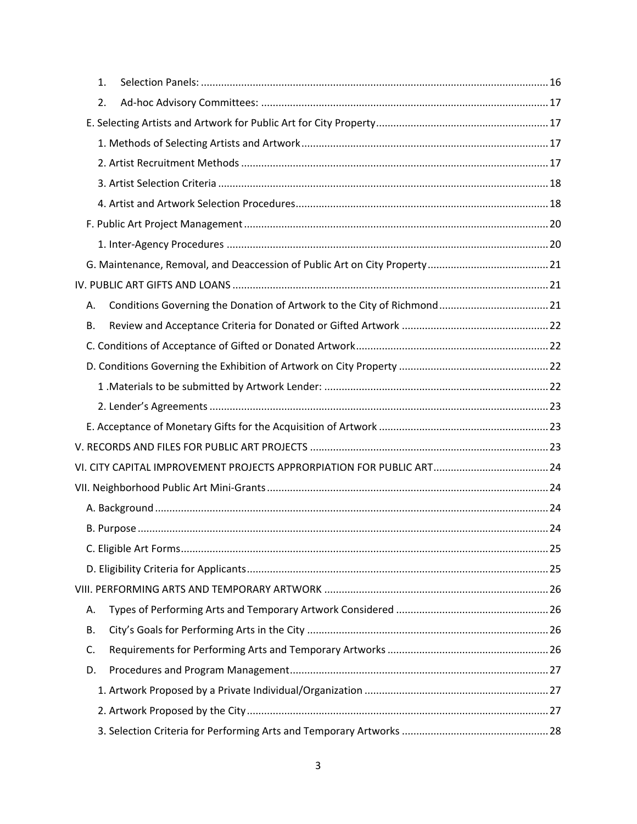|    | 1. |  |
|----|----|--|
|    | 2. |  |
|    |    |  |
|    |    |  |
|    |    |  |
|    |    |  |
|    |    |  |
|    |    |  |
|    |    |  |
|    |    |  |
|    |    |  |
| А. |    |  |
| В. |    |  |
|    |    |  |
|    |    |  |
|    |    |  |
|    |    |  |
|    |    |  |
|    |    |  |
|    |    |  |
|    |    |  |
|    |    |  |
|    |    |  |
|    |    |  |
|    |    |  |
|    |    |  |
| А. |    |  |
| В. |    |  |
| C. |    |  |
| D. |    |  |
|    |    |  |
|    |    |  |
|    |    |  |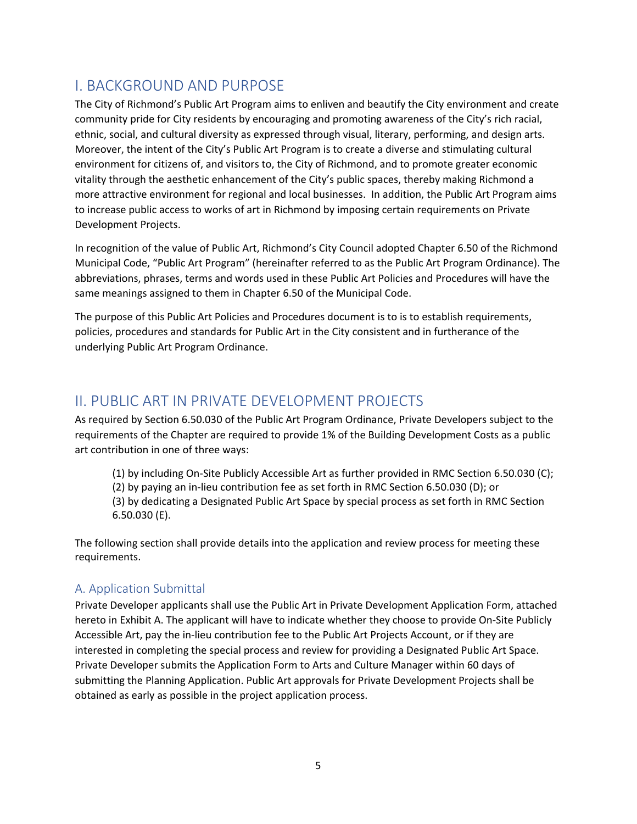# <span id="page-6-0"></span>I. BACKGROUND AND PURPOSE

The City of Richmond's Public Art Program aims to enliven and beautify the City environment and create community pride for City residents by encouraging and promoting awareness of the City's rich racial, ethnic, social, and cultural diversity as expressed through visual, literary, performing, and design arts. Moreover, the intent of the City's Public Art Program is to create a diverse and stimulating cultural environment for citizens of, and visitors to, the City of Richmond, and to promote greater economic vitality through the aesthetic enhancement of the City's public spaces, thereby making Richmond a more attractive environment for regional and local businesses. In addition, the Public Art Program aims to increase public access to works of art in Richmond by imposing certain requirements on Private Development Projects.

In recognition of the value of Public Art, Richmond's City Council adopted Chapter 6.50 of the Richmond Municipal Code, "Public Art Program" (hereinafter referred to as the Public Art Program Ordinance). The abbreviations, phrases, terms and words used in these Public Art Policies and Procedures will have the same meanings assigned to them in Chapter 6.50 of the Municipal Code.

The purpose of this Public Art Policies and Procedures document is to is to establish requirements, policies, procedures and standards for Public Art in the City consistent and in furtherance of the underlying Public Art Program Ordinance.

# <span id="page-6-1"></span>II. PUBLIC ART IN PRIVATE DEVELOPMENT PROJECTS

As required by Section 6.50.030 of the Public Art Program Ordinance, Private Developers subject to the requirements of the Chapter are required to provide 1% of the Building Development Costs as a public art contribution in one of three ways:

- (1) by including On-Site Publicly Accessible Art as further provided in RMC Section 6.50.030 (C);
- (2) by paying an in-lieu contribution fee as set forth in RMC Section 6.50.030 (D); or

(3) by dedicating a Designated Public Art Space by special process as set forth in RMC Section 6.50.030 (E).

The following section shall provide details into the application and review process for meeting these requirements.

# <span id="page-6-2"></span>A. Application Submittal

Private Developer applicants shall use the Public Art in Private Development Application Form, attached hereto in Exhibit A. The applicant will have to indicate whether they choose to provide On-Site Publicly Accessible Art, pay the in-lieu contribution fee to the Public Art Projects Account, or if they are interested in completing the special process and review for providing a Designated Public Art Space. Private Developer submits the Application Form to Arts and Culture Manager within 60 days of submitting the Planning Application. Public Art approvals for Private Development Projects shall be obtained as early as possible in the project application process.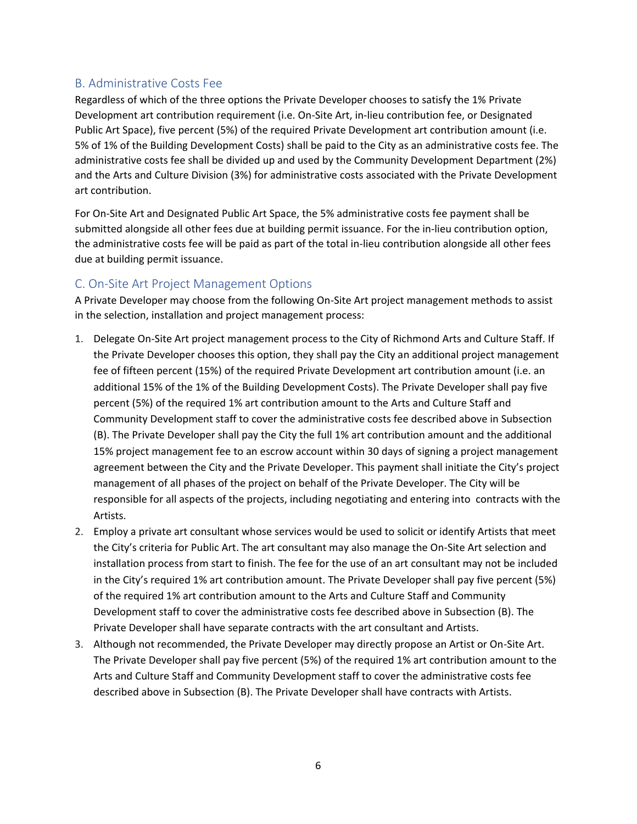## <span id="page-7-0"></span>B. Administrative Costs Fee

Regardless of which of the three options the Private Developer chooses to satisfy the 1% Private Development art contribution requirement (i.e. On-Site Art, in-lieu contribution fee, or Designated Public Art Space), five percent (5%) of the required Private Development art contribution amount (i.e. 5% of 1% of the Building Development Costs) shall be paid to the City as an administrative costs fee. The administrative costs fee shall be divided up and used by the Community Development Department (2%) and the Arts and Culture Division (3%) for administrative costs associated with the Private Development art contribution.

For On-Site Art and Designated Public Art Space, the 5% administrative costs fee payment shall be submitted alongside all other fees due at building permit issuance. For the in-lieu contribution option, the administrative costs fee will be paid as part of the total in-lieu contribution alongside all other fees due at building permit issuance.

## <span id="page-7-1"></span>C. On-Site Art Project Management Options

A Private Developer may choose from the following On-Site Art project management methods to assist in the selection, installation and project management process:

- 1. Delegate On-Site Art project management process to the City of Richmond Arts and Culture Staff. If the Private Developer chooses this option, they shall pay the City an additional project management fee of fifteen percent (15%) of the required Private Development art contribution amount (i.e. an additional 15% of the 1% of the Building Development Costs). The Private Developer shall pay five percent (5%) of the required 1% art contribution amount to the Arts and Culture Staff and Community Development staff to cover the administrative costs fee described above in Subsection (B). The Private Developer shall pay the City the full 1% art contribution amount and the additional 15% project management fee to an escrow account within 30 days of signing a project management agreement between the City and the Private Developer. This payment shall initiate the City's project management of all phases of the project on behalf of the Private Developer. The City will be responsible for all aspects of the projects, including negotiating and entering into contracts with the Artists.
- 2. Employ a private art consultant whose services would be used to solicit or identify Artists that meet the City's criteria for Public Art. The art consultant may also manage the On-Site Art selection and installation process from start to finish. The fee for the use of an art consultant may not be included in the City's required 1% art contribution amount. The Private Developer shall pay five percent (5%) of the required 1% art contribution amount to the Arts and Culture Staff and Community Development staff to cover the administrative costs fee described above in Subsection (B). The Private Developer shall have separate contracts with the art consultant and Artists.
- 3. Although not recommended, the Private Developer may directly propose an Artist or On-Site Art. The Private Developer shall pay five percent (5%) of the required 1% art contribution amount to the Arts and Culture Staff and Community Development staff to cover the administrative costs fee described above in Subsection (B). The Private Developer shall have contracts with Artists.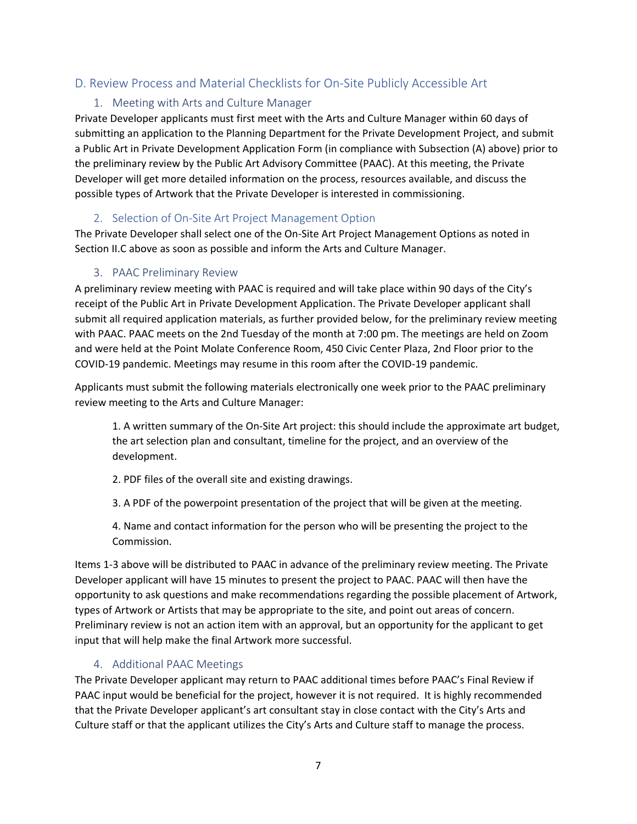## <span id="page-8-1"></span><span id="page-8-0"></span>D. Review Process and Material Checklists for On-Site Publicly Accessible Art

### 1. Meeting with Arts and Culture Manager

Private Developer applicants must first meet with the Arts and Culture Manager within 60 days of submitting an application to the Planning Department for the Private Development Project, and submit a Public Art in Private Development Application Form (in compliance with Subsection (A) above) prior to the preliminary review by the Public Art Advisory Committee (PAAC). At this meeting, the Private Developer will get more detailed information on the process, resources available, and discuss the possible types of Artwork that the Private Developer is interested in commissioning.

#### 2. Selection of On-Site Art Project Management Option

<span id="page-8-2"></span>The Private Developer shall select one of the On-Site Art Project Management Options as noted in Section II.C above as soon as possible and inform the Arts and Culture Manager.

#### 3. PAAC Preliminary Review

<span id="page-8-3"></span>A preliminary review meeting with PAAC is required and will take place within 90 days of the City's receipt of the Public Art in Private Development Application. The Private Developer applicant shall submit all required application materials, as further provided below, for the preliminary review meeting with PAAC. PAAC meets on the 2nd Tuesday of the month at 7:00 pm. The meetings are held on Zoom and were held at the Point Molate Conference Room, 450 Civic Center Plaza, 2nd Floor prior to the COVID-19 pandemic. Meetings may resume in this room after the COVID-19 pandemic.

Applicants must submit the following materials electronically one week prior to the PAAC preliminary review meeting to the Arts and Culture Manager:

1. A written summary of the On-Site Art project: this should include the approximate art budget, the art selection plan and consultant, timeline for the project, and an overview of the development.

2. PDF files of the overall site and existing drawings.

3. A PDF of the powerpoint presentation of the project that will be given at the meeting.

4. Name and contact information for the person who will be presenting the project to the Commission.

Items 1-3 above will be distributed to PAAC in advance of the preliminary review meeting. The Private Developer applicant will have 15 minutes to present the project to PAAC. PAAC will then have the opportunity to ask questions and make recommendations regarding the possible placement of Artwork, types of Artwork or Artists that may be appropriate to the site, and point out areas of concern. Preliminary review is not an action item with an approval, but an opportunity for the applicant to get input that will help make the final Artwork more successful.

#### 4. Additional PAAC Meetings

<span id="page-8-4"></span>The Private Developer applicant may return to PAAC additional times before PAAC's Final Review if PAAC input would be beneficial for the project, however it is not required. It is highly recommended that the Private Developer applicant's art consultant stay in close contact with the City's Arts and Culture staff or that the applicant utilizes the City's Arts and Culture staff to manage the process.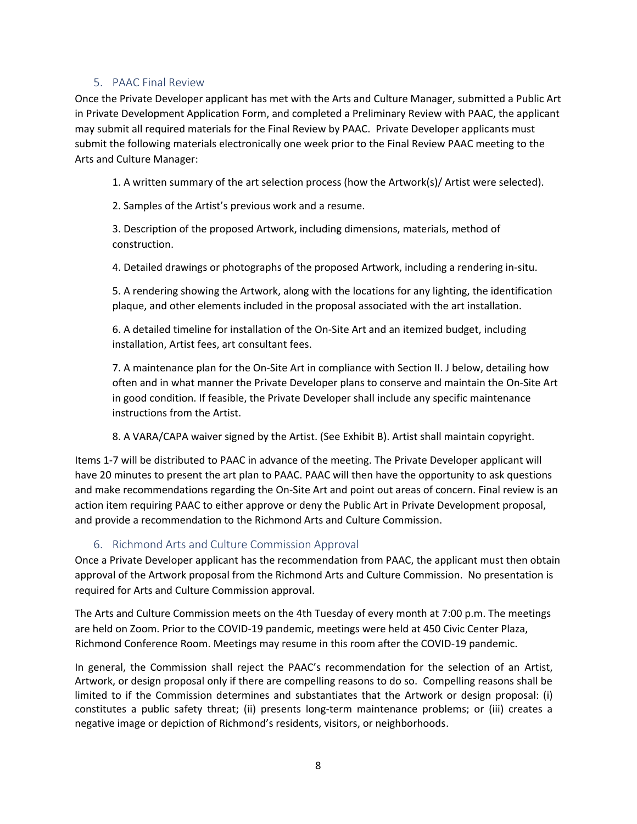#### 5. PAAC Final Review

<span id="page-9-0"></span>Once the Private Developer applicant has met with the Arts and Culture Manager, submitted a Public Art in Private Development Application Form, and completed a Preliminary Review with PAAC, the applicant may submit all required materials for the Final Review by PAAC. Private Developer applicants must submit the following materials electronically one week prior to the Final Review PAAC meeting to the Arts and Culture Manager:

1. A written summary of the art selection process (how the Artwork(s)/ Artist were selected).

2. Samples of the Artist's previous work and a resume.

3. Description of the proposed Artwork, including dimensions, materials, method of construction.

4. Detailed drawings or photographs of the proposed Artwork, including a rendering in-situ.

5. A rendering showing the Artwork, along with the locations for any lighting, the identification plaque, and other elements included in the proposal associated with the art installation.

6. A detailed timeline for installation of the On-Site Art and an itemized budget, including installation, Artist fees, art consultant fees.

7. A maintenance plan for the On-Site Art in compliance with Section II. J below, detailing how often and in what manner the Private Developer plans to conserve and maintain the On-Site Art in good condition. If feasible, the Private Developer shall include any specific maintenance instructions from the Artist.

8. A VARA/CAPA waiver signed by the Artist. (See Exhibit B). Artist shall maintain copyright.

Items 1-7 will be distributed to PAAC in advance of the meeting. The Private Developer applicant will have 20 minutes to present the art plan to PAAC. PAAC will then have the opportunity to ask questions and make recommendations regarding the On-Site Art and point out areas of concern. Final review is an action item requiring PAAC to either approve or deny the Public Art in Private Development proposal, and provide a recommendation to the Richmond Arts and Culture Commission.

6. Richmond Arts and Culture Commission Approval

<span id="page-9-1"></span>Once a Private Developer applicant has the recommendation from PAAC, the applicant must then obtain approval of the Artwork proposal from the Richmond Arts and Culture Commission. No presentation is required for Arts and Culture Commission approval.

The Arts and Culture Commission meets on the 4th Tuesday of every month at 7:00 p.m. The meetings are held on Zoom. Prior to the COVID-19 pandemic, meetings were held at 450 Civic Center Plaza, Richmond Conference Room. Meetings may resume in this room after the COVID-19 pandemic.

In general, the Commission shall reject the PAAC's recommendation for the selection of an Artist, Artwork, or design proposal only if there are compelling reasons to do so. Compelling reasons shall be limited to if the Commission determines and substantiates that the Artwork or design proposal: (i) constitutes a public safety threat; (ii) presents long-term maintenance problems; or (iii) creates a negative image or depiction of Richmond's residents, visitors, or neighborhoods.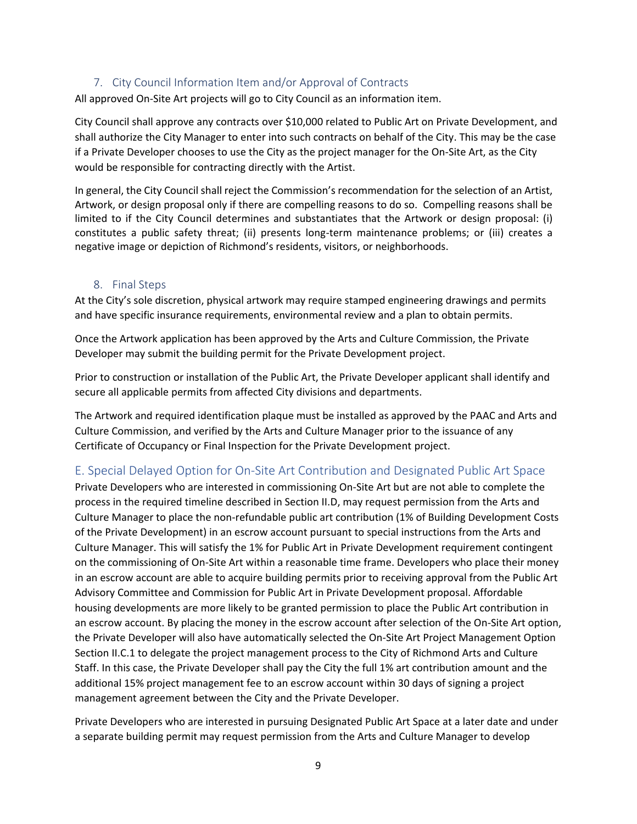#### 7. City Council Information Item and/or Approval of Contracts

<span id="page-10-0"></span>All approved On-Site Art projects will go to City Council as an information item.

City Council shall approve any contracts over \$10,000 related to Public Art on Private Development, and shall authorize the City Manager to enter into such contracts on behalf of the City. This may be the case if a Private Developer chooses to use the City as the project manager for the On-Site Art, as the City would be responsible for contracting directly with the Artist.

In general, the City Council shall reject the Commission's recommendation for the selection of an Artist, Artwork, or design proposal only if there are compelling reasons to do so. Compelling reasons shall be limited to if the City Council determines and substantiates that the Artwork or design proposal: (i) constitutes a public safety threat; (ii) presents long-term maintenance problems; or (iii) creates a negative image or depiction of Richmond's residents, visitors, or neighborhoods.

#### 8. Final Steps

<span id="page-10-1"></span>At the City's sole discretion, physical artwork may require stamped engineering drawings and permits and have specific insurance requirements, environmental review and a plan to obtain permits.

Once the Artwork application has been approved by the Arts and Culture Commission, the Private Developer may submit the building permit for the Private Development project.

Prior to construction or installation of the Public Art, the Private Developer applicant shall identify and secure all applicable permits from affected City divisions and departments.

The Artwork and required identification plaque must be installed as approved by the PAAC and Arts and Culture Commission, and verified by the Arts and Culture Manager prior to the issuance of any Certificate of Occupancy or Final Inspection for the Private Development project.

### <span id="page-10-2"></span>E. Special Delayed Option for On-Site Art Contribution and Designated Public Art Space

Private Developers who are interested in commissioning On-Site Art but are not able to complete the process in the required timeline described in Section II.D, may request permission from the Arts and Culture Manager to place the non-refundable public art contribution (1% of Building Development Costs of the Private Development) in an escrow account pursuant to special instructions from the Arts and Culture Manager. This will satisfy the 1% for Public Art in Private Development requirement contingent on the commissioning of On-Site Art within a reasonable time frame. Developers who place their money in an escrow account are able to acquire building permits prior to receiving approval from the Public Art Advisory Committee and Commission for Public Art in Private Development proposal. Affordable housing developments are more likely to be granted permission to place the Public Art contribution in an escrow account. By placing the money in the escrow account after selection of the On-Site Art option, the Private Developer will also have automatically selected the On-Site Art Project Management Option Section II.C.1 to delegate the project management process to the City of Richmond Arts and Culture Staff. In this case, the Private Developer shall pay the City the full 1% art contribution amount and the additional 15% project management fee to an escrow account within 30 days of signing a project management agreement between the City and the Private Developer.

Private Developers who are interested in pursuing Designated Public Art Space at a later date and under a separate building permit may request permission from the Arts and Culture Manager to develop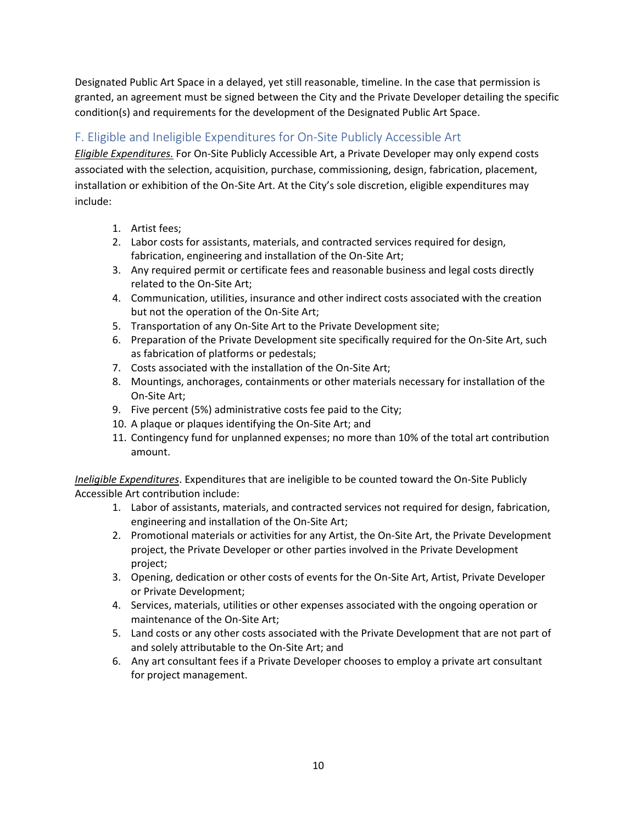Designated Public Art Space in a delayed, yet still reasonable, timeline. In the case that permission is granted, an agreement must be signed between the City and the Private Developer detailing the specific condition(s) and requirements for the development of the Designated Public Art Space.

# <span id="page-11-0"></span>F. Eligible and Ineligible Expenditures for On-Site Publicly Accessible Art

*Eligible Expenditures.* For On-Site Publicly Accessible Art, a Private Developer may only expend costs associated with the selection, acquisition, purchase, commissioning, design, fabrication, placement, installation or exhibition of the On-Site Art. At the City's sole discretion, eligible expenditures may include:

- 1. Artist fees;
- 2. Labor costs for assistants, materials, and contracted services required for design, fabrication, engineering and installation of the On-Site Art;
- 3. Any required permit or certificate fees and reasonable business and legal costs directly related to the On-Site Art;
- 4. Communication, utilities, insurance and other indirect costs associated with the creation but not the operation of the On-Site Art;
- 5. Transportation of any On-Site Art to the Private Development site;
- 6. Preparation of the Private Development site specifically required for the On-Site Art, such as fabrication of platforms or pedestals;
- 7. Costs associated with the installation of the On-Site Art;
- 8. Mountings, anchorages, containments or other materials necessary for installation of the On-Site Art;
- 9. Five percent (5%) administrative costs fee paid to the City;
- 10. A plaque or plaques identifying the On-Site Art; and
- 11. Contingency fund for unplanned expenses; no more than 10% of the total art contribution amount.

*Ineligible Expenditures*. Expenditures that are ineligible to be counted toward the On-Site Publicly Accessible Art contribution include:

- 1. Labor of assistants, materials, and contracted services not required for design, fabrication, engineering and installation of the On-Site Art;
- 2. Promotional materials or activities for any Artist, the On-Site Art, the Private Development project, the Private Developer or other parties involved in the Private Development project;
- 3. Opening, dedication or other costs of events for the On-Site Art, Artist, Private Developer or Private Development;
- 4. Services, materials, utilities or other expenses associated with the ongoing operation or maintenance of the On-Site Art;
- 5. Land costs or any other costs associated with the Private Development that are not part of and solely attributable to the On-Site Art; and
- 6. Any art consultant fees if a Private Developer chooses to employ a private art consultant for project management.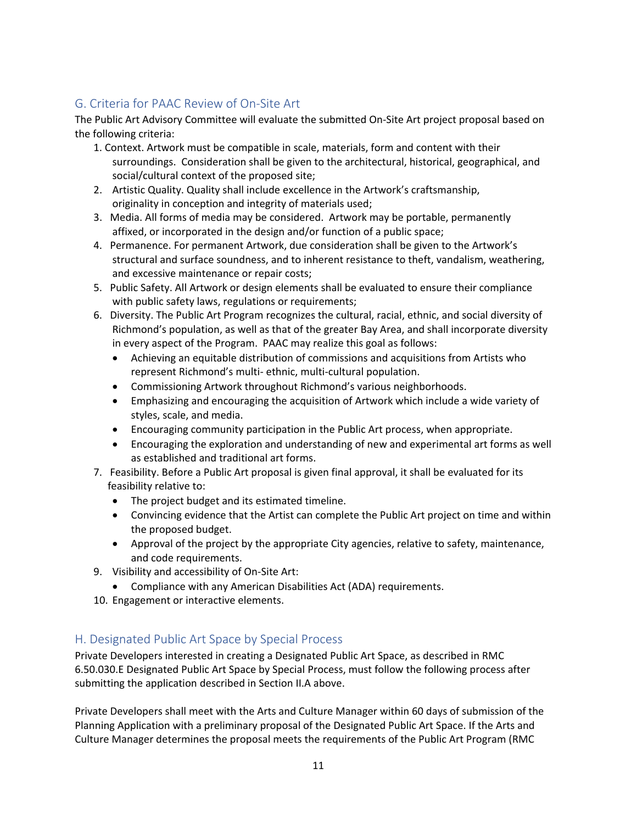# <span id="page-12-0"></span>G. Criteria for PAAC Review of On-Site Art

The Public Art Advisory Committee will evaluate the submitted On-Site Art project proposal based on the following criteria:

- 1. Context. Artwork must be compatible in scale, materials, form and content with their surroundings. Consideration shall be given to the architectural, historical, geographical, and social/cultural context of the proposed site;
- 2. Artistic Quality. Quality shall include excellence in the Artwork's craftsmanship, originality in conception and integrity of materials used;
- 3. Media. All forms of media may be considered. Artwork may be portable, permanently affixed, or incorporated in the design and/or function of a public space;
- 4. Permanence. For permanent Artwork, due consideration shall be given to the Artwork's structural and surface soundness, and to inherent resistance to theft, vandalism, weathering, and excessive maintenance or repair costs;
- 5. Public Safety. All Artwork or design elements shall be evaluated to ensure their compliance with public safety laws, regulations or requirements;
- 6. Diversity. The Public Art Program recognizes the cultural, racial, ethnic, and social diversity of Richmond's population, as well as that of the greater Bay Area, and shall incorporate diversity in every aspect of the Program. PAAC may realize this goal as follows:
	- Achieving an equitable distribution of commissions and acquisitions from Artists who represent Richmond's multi- ethnic, multi-cultural population.
	- Commissioning Artwork throughout Richmond's various neighborhoods.
	- Emphasizing and encouraging the acquisition of Artwork which include a wide variety of styles, scale, and media.
	- Encouraging community participation in the Public Art process, when appropriate.
	- Encouraging the exploration and understanding of new and experimental art forms as well as established and traditional art forms.
- 7. Feasibility. Before a Public Art proposal is given final approval, it shall be evaluated for its feasibility relative to:
	- The project budget and its estimated timeline.
	- Convincing evidence that the Artist can complete the Public Art project on time and within the proposed budget.
	- Approval of the project by the appropriate City agencies, relative to safety, maintenance, and code requirements.
- 9. Visibility and accessibility of On-Site Art:
	- Compliance with any American Disabilities Act (ADA) requirements.
- 10. Engagement or interactive elements.

# <span id="page-12-1"></span>H. Designated Public Art Space by Special Process

Private Developers interested in creating a Designated Public Art Space, as described in RMC 6.50.030.E Designated Public Art Space by Special Process, must follow the following process after submitting the application described in Section II.A above.

Private Developers shall meet with the Arts and Culture Manager within 60 days of submission of the Planning Application with a preliminary proposal of the Designated Public Art Space. If the Arts and Culture Manager determines the proposal meets the requirements of the Public Art Program (RMC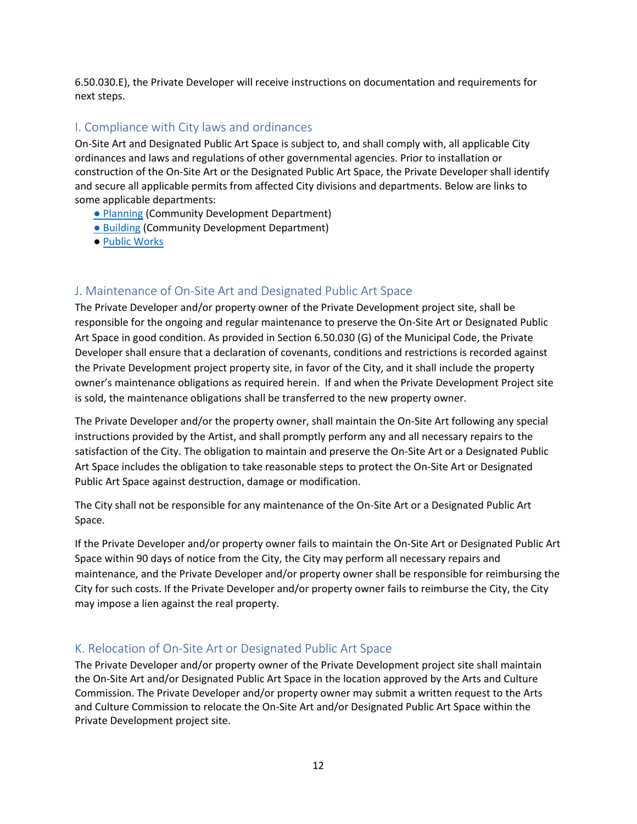6.50.030.E), the Private Developer will receive instructions on documentation and requirements for next steps.

## <span id="page-13-0"></span>I. Compliance with City laws and ordinances

On-Site Art and Designated Public Art Space is subject to, and shall comply with, all applicable City ordinances and laws and regulations of other governmental agencies. Prior to installation or construction of the On-Site Art or the Designated Public Art Space, the Private Developer shall identify and secure all applicable permits from affected City divisions and departments. Below are links to some applicable departments:

- [Planning](https://www.ci.richmond.ca.us/2102/FeesFormsChecklists) (Community Development Department)
- [Building](https://www.ci.richmond.ca.us/2100/Forms-Handouts) (Community Development Department)
- [Public Works](http://www.ci.richmond.ca.us/276/Public-Works)

### <span id="page-13-1"></span>J. Maintenance of On-Site Art and Designated Public Art Space

The Private Developer and/or property owner of the Private Development project site, shall be responsible for the ongoing and regular maintenance to preserve the On-Site Art or Designated Public Art Space in good condition. As provided in Section 6.50.030 (G) of the Municipal Code, the Private Developer shall ensure that a declaration of covenants, conditions and restrictions is recorded against the Private Development project property site, in favor of the City, and it shall include the property owner's maintenance obligations as required herein. If and when the Private Development Project site is sold, the maintenance obligations shall be transferred to the new property owner.

The Private Developer and/or the property owner, shall maintain the On-Site Art following any special instructions provided by the Artist, and shall promptly perform any and all necessary repairs to the satisfaction of the City. The obligation to maintain and preserve the On-Site Art or a Designated Public Art Space includes the obligation to take reasonable steps to protect the On-Site Art or Designated Public Art Space against destruction, damage or modification.

The City shall not be responsible for any maintenance of the On-Site Art or a Designated Public Art Space.

If the Private Developer and/or property owner fails to maintain the On-Site Art or Designated Public Art Space within 90 days of notice from the City, the City may perform all necessary repairs and maintenance, and the Private Developer and/or property owner shall be responsible for reimbursing the City for such costs. If the Private Developer and/or property owner fails to reimburse the City, the City may impose a lien against the real property.

#### <span id="page-13-2"></span>K. Relocation of On-Site Art or Designated Public Art Space

The Private Developer and/or property owner of the Private Development project site shall maintain the On-Site Art and/or Designated Public Art Space in the location approved by the Arts and Culture Commission. The Private Developer and/or property owner may submit a written request to the Arts and Culture Commission to relocate the On-Site Art and/or Designated Public Art Space within the Private Development project site.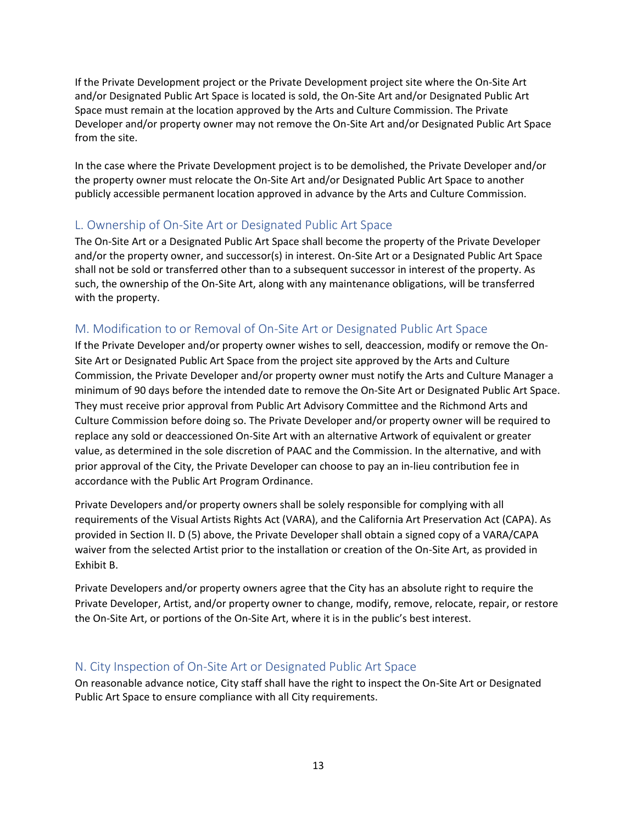If the Private Development project or the Private Development project site where the On-Site Art and/or Designated Public Art Space is located is sold, the On-Site Art and/or Designated Public Art Space must remain at the location approved by the Arts and Culture Commission. The Private Developer and/or property owner may not remove the On-Site Art and/or Designated Public Art Space from the site.

In the case where the Private Development project is to be demolished, the Private Developer and/or the property owner must relocate the On-Site Art and/or Designated Public Art Space to another publicly accessible permanent location approved in advance by the Arts and Culture Commission.

### <span id="page-14-0"></span>L. Ownership of On-Site Art or Designated Public Art Space

The On-Site Art or a Designated Public Art Space shall become the property of the Private Developer and/or the property owner, and successor(s) in interest. On-Site Art or a Designated Public Art Space shall not be sold or transferred other than to a subsequent successor in interest of the property. As such, the ownership of the On-Site Art, along with any maintenance obligations, will be transferred with the property.

# <span id="page-14-1"></span>M. Modification to or Removal of On-Site Art or Designated Public Art Space

If the Private Developer and/or property owner wishes to sell, deaccession, modify or remove the On-Site Art or Designated Public Art Space from the project site approved by the Arts and Culture Commission, the Private Developer and/or property owner must notify the Arts and Culture Manager a minimum of 90 days before the intended date to remove the On-Site Art or Designated Public Art Space. They must receive prior approval from Public Art Advisory Committee and the Richmond Arts and Culture Commission before doing so. The Private Developer and/or property owner will be required to replace any sold or deaccessioned On-Site Art with an alternative Artwork of equivalent or greater value, as determined in the sole discretion of PAAC and the Commission. In the alternative, and with prior approval of the City, the Private Developer can choose to pay an in-lieu contribution fee in accordance with the Public Art Program Ordinance.

Private Developers and/or property owners shall be solely responsible for complying with all requirements of the Visual Artists Rights Act (VARA), and the California Art Preservation Act (CAPA). As provided in Section II. D (5) above, the Private Developer shall obtain a signed copy of a VARA/CAPA waiver from the selected Artist prior to the installation or creation of the On-Site Art, as provided in Exhibit B.

Private Developers and/or property owners agree that the City has an absolute right to require the Private Developer, Artist, and/or property owner to change, modify, remove, relocate, repair, or restore the On-Site Art, or portions of the On-Site Art, where it is in the public's best interest.

### <span id="page-14-2"></span>N. City Inspection of On-Site Art or Designated Public Art Space

On reasonable advance notice, City staff shall have the right to inspect the On-Site Art or Designated Public Art Space to ensure compliance with all City requirements.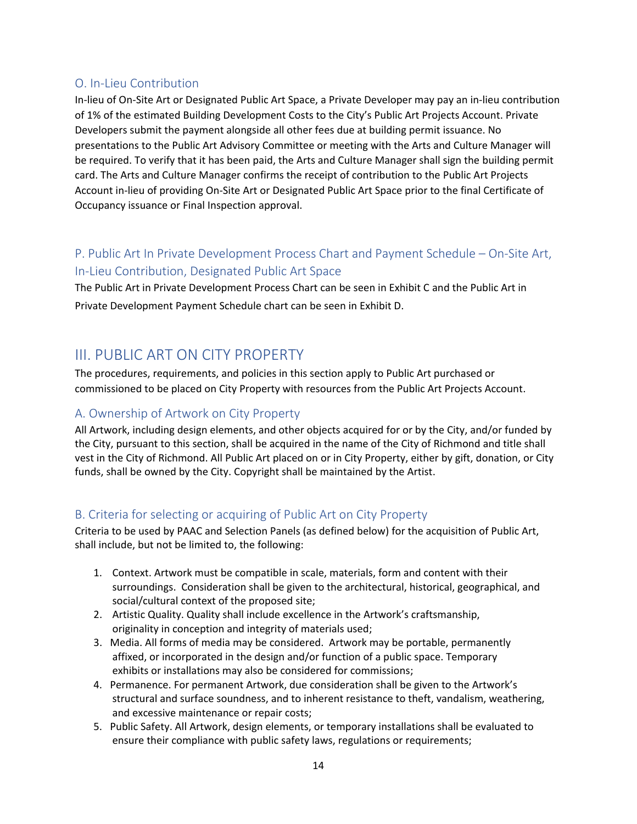## <span id="page-15-0"></span>O. In-Lieu Contribution

In-lieu of On-Site Art or Designated Public Art Space, a Private Developer may pay an in-lieu contribution of 1% of the estimated Building Development Costs to the City's Public Art Projects Account. Private Developers submit the payment alongside all other fees due at building permit issuance. No presentations to the Public Art Advisory Committee or meeting with the Arts and Culture Manager will be required. To verify that it has been paid, the Arts and Culture Manager shall sign the building permit card. The Arts and Culture Manager confirms the receipt of contribution to the Public Art Projects Account in-lieu of providing On-Site Art or Designated Public Art Space prior to the final Certificate of Occupancy issuance or Final Inspection approval.

# <span id="page-15-1"></span>P. Public Art In Private Development Process Chart and Payment Schedule – On-Site Art, In-Lieu Contribution, Designated Public Art Space

The Public Art in Private Development Process Chart can be seen in Exhibit C and the Public Art in Private Development Payment Schedule chart can be seen in Exhibit D.

# <span id="page-15-2"></span>III. PUBLIC ART ON CITY PROPERTY

The procedures, requirements, and policies in this section apply to Public Art purchased or commissioned to be placed on City Property with resources from the Public Art Projects Account.

## <span id="page-15-3"></span>A. Ownership of Artwork on City Property

All Artwork, including design elements, and other objects acquired for or by the City, and/or funded by the City, pursuant to this section, shall be acquired in the name of the City of Richmond and title shall vest in the City of Richmond. All Public Art placed on or in City Property, either by gift, donation, or City funds, shall be owned by the City. Copyright shall be maintained by the Artist.

### <span id="page-15-4"></span>B. Criteria for selecting or acquiring of Public Art on City Property

Criteria to be used by PAAC and Selection Panels (as defined below) for the acquisition of Public Art, shall include, but not be limited to, the following:

- 1. Context. Artwork must be compatible in scale, materials, form and content with their surroundings. Consideration shall be given to the architectural, historical, geographical, and social/cultural context of the proposed site;
- 2. Artistic Quality. Quality shall include excellence in the Artwork's craftsmanship, originality in conception and integrity of materials used;
- 3. Media. All forms of media may be considered. Artwork may be portable, permanently affixed, or incorporated in the design and/or function of a public space. Temporary exhibits or installations may also be considered for commissions;
- 4. Permanence. For permanent Artwork, due consideration shall be given to the Artwork's structural and surface soundness, and to inherent resistance to theft, vandalism, weathering, and excessive maintenance or repair costs;
- 5. Public Safety. All Artwork, design elements, or temporary installations shall be evaluated to ensure their compliance with public safety laws, regulations or requirements;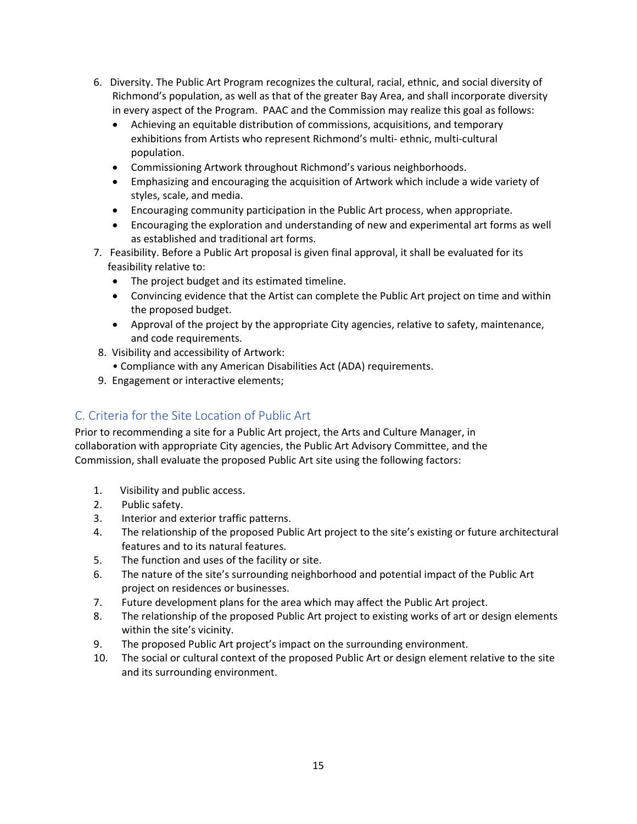- 6. Diversity. The Public Art Program recognizes the cultural, racial, ethnic, and social diversity of Richmond's population, as well as that of the greater Bay Area, and shall incorporate diversity in every aspect of the Program. PAAC and the Commission may realize this goal as follows:
	- Achieving an equitable distribution of commissions, acquisitions, and temporary exhibitions from Artists who represent Richmond's multi- ethnic, multi-cultural population.
	- Commissioning Artwork throughout Richmond's various neighborhoods.
	- Emphasizing and encouraging the acquisition of Artwork which include a wide variety of styles, scale, and media.
	- Encouraging community participation in the Public Art process, when appropriate.
	- Encouraging the exploration and understanding of new and experimental art forms as well as established and traditional art forms.
- 7. Feasibility. Before a Public Art proposal is given final approval, it shall be evaluated for its feasibility relative to:
	- The project budget and its estimated timeline.
	- Convincing evidence that the Artist can complete the Public Art project on time and within the proposed budget.
	- Approval of the project by the appropriate City agencies, relative to safety, maintenance, and code requirements.
- 8. Visibility and accessibility of Artwork:
	- Compliance with any American Disabilities Act (ADA) requirements.
- 9. Engagement or interactive elements;

# <span id="page-16-0"></span>C. Criteria for the Site Location of Public Art

Prior to recommending a site for a Public Art project, the Arts and Culture Manager, in collaboration with appropriate City agencies, the Public Art Advisory Committee, and the Commission, shall evaluate the proposed Public Art site using the following factors:

- 1. Visibility and public access.
- 2. Public safety.
- 3. Interior and exterior traffic patterns.
- 4. The relationship of the proposed Public Art project to the site's existing or future architectural features and to its natural features.
- 5. The function and uses of the facility or site.
- 6. The nature of the site's surrounding neighborhood and potential impact of the Public Art project on residences or businesses.
- 7. Future development plans for the area which may affect the Public Art project.
- 8. The relationship of the proposed Public Art project to existing works of art or design elements within the site's vicinity.
- 9. The proposed Public Art project's impact on the surrounding environment.
- 10. The social or cultural context of the proposed Public Art or design element relative to the site and its surrounding environment.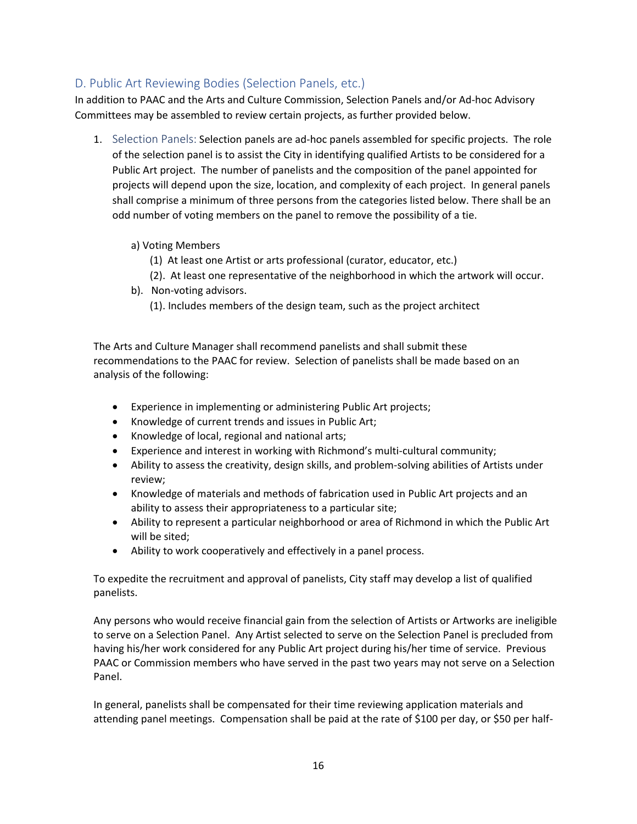## <span id="page-17-0"></span>D. Public Art Reviewing Bodies (Selection Panels, etc.)

In addition to PAAC and the Arts and Culture Commission, Selection Panels and/or Ad-hoc Advisory Committees may be assembled to review certain projects, as further provided below.

<span id="page-17-1"></span>1. Selection Panels: Selection panels are ad-hoc panels assembled for specific projects. The role of the selection panel is to assist the City in identifying qualified Artists to be considered for a Public Art project. The number of panelists and the composition of the panel appointed for projects will depend upon the size, location, and complexity of each project. In general panels shall comprise a minimum of three persons from the categories listed below. There shall be an odd number of voting members on the panel to remove the possibility of a tie.

#### a) Voting Members

- (1) At least one Artist or arts professional (curator, educator, etc.)
- (2). At least one representative of the neighborhood in which the artwork will occur.
- b). Non-voting advisors.
	- (1). Includes members of the design team, such as the project architect

The Arts and Culture Manager shall recommend panelists and shall submit these recommendations to the PAAC for review. Selection of panelists shall be made based on an analysis of the following:

- Experience in implementing or administering Public Art projects;
- Knowledge of current trends and issues in Public Art;
- Knowledge of local, regional and national arts;
- Experience and interest in working with Richmond's multi-cultural community;
- Ability to assess the creativity, design skills, and problem-solving abilities of Artists under review;
- Knowledge of materials and methods of fabrication used in Public Art projects and an ability to assess their appropriateness to a particular site;
- Ability to represent a particular neighborhood or area of Richmond in which the Public Art will be sited;
- Ability to work cooperatively and effectively in a panel process.

To expedite the recruitment and approval of panelists, City staff may develop a list of qualified panelists.

Any persons who would receive financial gain from the selection of Artists or Artworks are ineligible to serve on a Selection Panel. Any Artist selected to serve on the Selection Panel is precluded from having his/her work considered for any Public Art project during his/her time of service. Previous PAAC or Commission members who have served in the past two years may not serve on a Selection Panel.

In general, panelists shall be compensated for their time reviewing application materials and attending panel meetings. Compensation shall be paid at the rate of \$100 per day, or \$50 per half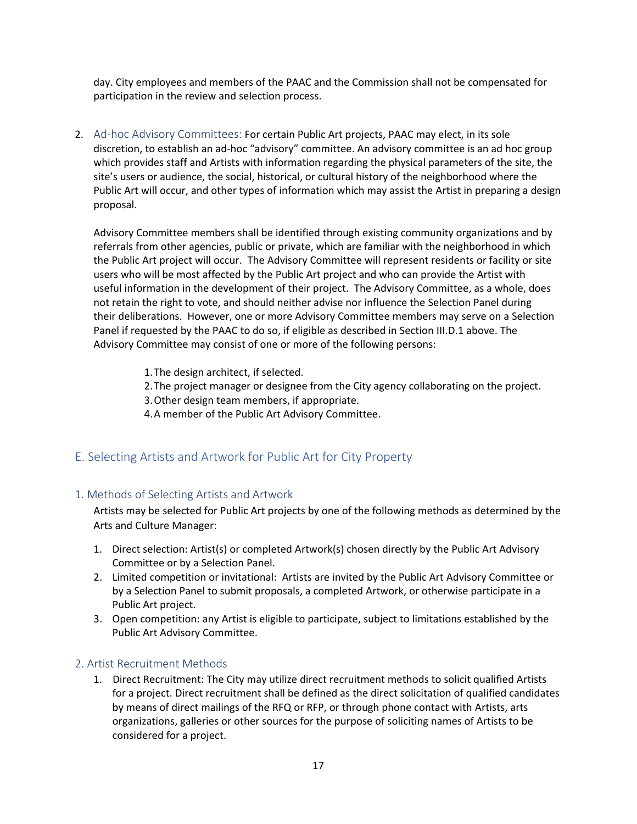day. City employees and members of the PAAC and the Commission shall not be compensated for participation in the review and selection process.

<span id="page-18-0"></span>2. Ad-hoc Advisory Committees: For certain Public Art projects, PAAC may elect, in its sole discretion, to establish an ad-hoc "advisory" committee. An advisory committee is an ad hoc group which provides staff and Artists with information regarding the physical parameters of the site, the site's users or audience, the social, historical, or cultural history of the neighborhood where the Public Art will occur, and other types of information which may assist the Artist in preparing a design proposal.

Advisory Committee members shall be identified through existing community organizations and by referrals from other agencies, public or private, which are familiar with the neighborhood in which the Public Art project will occur. The Advisory Committee will represent residents or facility or site users who will be most affected by the Public Art project and who can provide the Artist with useful information in the development of their project. The Advisory Committee, as a whole, does not retain the right to vote, and should neither advise nor influence the Selection Panel during their deliberations. However, one or more Advisory Committee members may serve on a Selection Panel if requested by the PAAC to do so, if eligible as described in Section III.D.1 above. The Advisory Committee may consist of one or more of the following persons:

- 1.The design architect, if selected.
- 2.The project manager or designee from the City agency collaborating on the project.
- 3.Other design team members, if appropriate.
- 4.A member of the Public Art Advisory Committee.

### <span id="page-18-1"></span>E. Selecting Artists and Artwork for Public Art for City Property

#### <span id="page-18-2"></span>1. Methods of Selecting Artists and Artwork

Artists may be selected for Public Art projects by one of the following methods as determined by the Arts and Culture Manager:

- 1. Direct selection: Artist(s) or completed Artwork(s) chosen directly by the Public Art Advisory Committee or by a Selection Panel.
- 2. Limited competition or invitational: Artists are invited by the Public Art Advisory Committee or by a Selection Panel to submit proposals, a completed Artwork, or otherwise participate in a Public Art project.
- 3. Open competition: any Artist is eligible to participate, subject to limitations established by the Public Art Advisory Committee.

#### <span id="page-18-3"></span>2. Artist Recruitment Methods

1. Direct Recruitment: The City may utilize direct recruitment methods to solicit qualified Artists for a project. Direct recruitment shall be defined as the direct solicitation of qualified candidates by means of direct mailings of the RFQ or RFP, or through phone contact with Artists, arts organizations, galleries or other sources for the purpose of soliciting names of Artists to be considered for a project.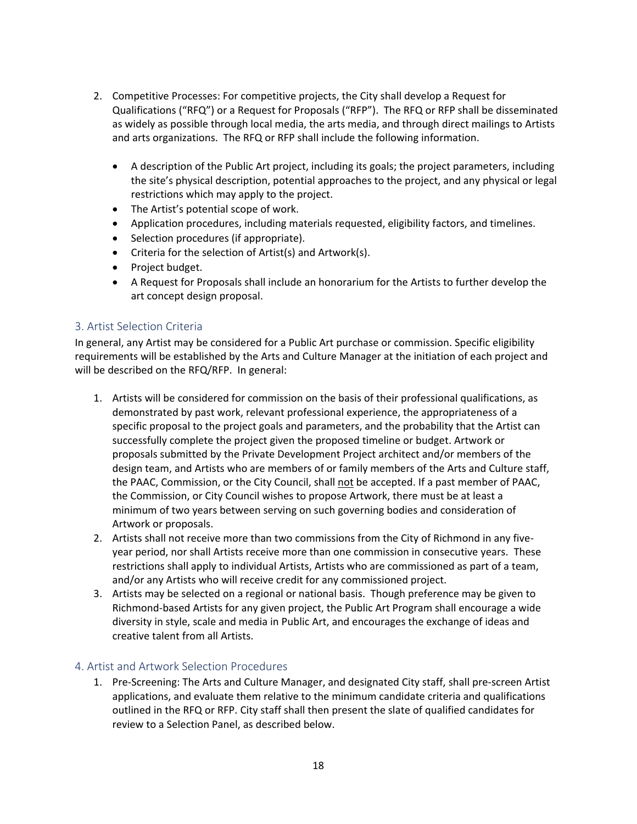- 2. Competitive Processes: For competitive projects, the City shall develop a Request for Qualifications ("RFQ") or a Request for Proposals ("RFP"). The RFQ or RFP shall be disseminated as widely as possible through local media, the arts media, and through direct mailings to Artists and arts organizations. The RFQ or RFP shall include the following information.
	- A description of the Public Art project, including its goals; the project parameters, including the site's physical description, potential approaches to the project, and any physical or legal restrictions which may apply to the project.
	- The Artist's potential scope of work.
	- Application procedures, including materials requested, eligibility factors, and timelines.
	- Selection procedures (if appropriate).
	- Criteria for the selection of Artist(s) and Artwork(s).
	- Project budget.
	- A Request for Proposals shall include an honorarium for the Artists to further develop the art concept design proposal.

#### <span id="page-19-0"></span>3. Artist Selection Criteria

In general, any Artist may be considered for a Public Art purchase or commission. Specific eligibility requirements will be established by the Arts and Culture Manager at the initiation of each project and will be described on the RFQ/RFP. In general:

- 1. Artists will be considered for commission on the basis of their professional qualifications, as demonstrated by past work, relevant professional experience, the appropriateness of a specific proposal to the project goals and parameters, and the probability that the Artist can successfully complete the project given the proposed timeline or budget. Artwork or proposals submitted by the Private Development Project architect and/or members of the design team, and Artists who are members of or family members of the Arts and Culture staff, the PAAC, Commission, or the City Council, shall not be accepted. If a past member of PAAC, the Commission, or City Council wishes to propose Artwork, there must be at least a minimum of two years between serving on such governing bodies and consideration of Artwork or proposals.
- 2. Artists shall not receive more than two commissions from the City of Richmond in any fiveyear period, nor shall Artists receive more than one commission in consecutive years. These restrictions shall apply to individual Artists, Artists who are commissioned as part of a team, and/or any Artists who will receive credit for any commissioned project.
- 3. Artists may be selected on a regional or national basis. Though preference may be given to Richmond-based Artists for any given project, the Public Art Program shall encourage a wide diversity in style, scale and media in Public Art, and encourages the exchange of ideas and creative talent from all Artists.

#### <span id="page-19-1"></span>4. Artist and Artwork Selection Procedures

1. Pre-Screening: The Arts and Culture Manager, and designated City staff, shall pre-screen Artist applications, and evaluate them relative to the minimum candidate criteria and qualifications outlined in the RFQ or RFP. City staff shall then present the slate of qualified candidates for review to a Selection Panel, as described below.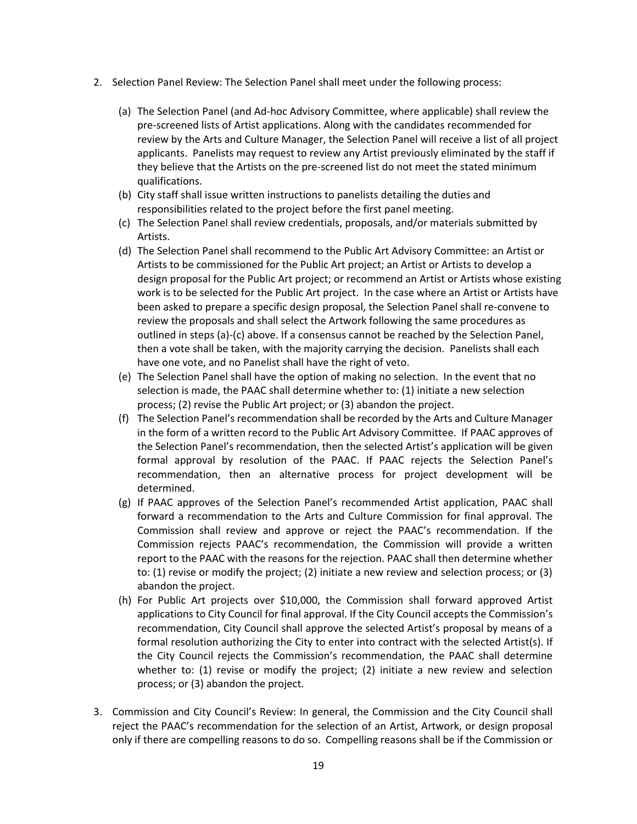- 2. Selection Panel Review: The Selection Panel shall meet under the following process:
	- (a) The Selection Panel (and Ad-hoc Advisory Committee, where applicable) shall review the pre-screened lists of Artist applications. Along with the candidates recommended for review by the Arts and Culture Manager, the Selection Panel will receive a list of all project applicants. Panelists may request to review any Artist previously eliminated by the staff if they believe that the Artists on the pre-screened list do not meet the stated minimum qualifications.
	- (b) City staff shall issue written instructions to panelists detailing the duties and responsibilities related to the project before the first panel meeting.
	- (c) The Selection Panel shall review credentials, proposals, and/or materials submitted by Artists.
	- (d) The Selection Panel shall recommend to the Public Art Advisory Committee: an Artist or Artists to be commissioned for the Public Art project; an Artist or Artists to develop a design proposal for the Public Art project; or recommend an Artist or Artists whose existing work is to be selected for the Public Art project. In the case where an Artist or Artists have been asked to prepare a specific design proposal, the Selection Panel shall re-convene to review the proposals and shall select the Artwork following the same procedures as outlined in steps (a)-(c) above. If a consensus cannot be reached by the Selection Panel, then a vote shall be taken, with the majority carrying the decision. Panelists shall each have one vote, and no Panelist shall have the right of veto.
	- (e) The Selection Panel shall have the option of making no selection. In the event that no selection is made, the PAAC shall determine whether to: (1) initiate a new selection process; (2) revise the Public Art project; or (3) abandon the project.
	- (f) The Selection Panel's recommendation shall be recorded by the Arts and Culture Manager in the form of a written record to the Public Art Advisory Committee. If PAAC approves of the Selection Panel's recommendation, then the selected Artist's application will be given formal approval by resolution of the PAAC. If PAAC rejects the Selection Panel's recommendation, then an alternative process for project development will be determined.
	- (g) If PAAC approves of the Selection Panel's recommended Artist application, PAAC shall forward a recommendation to the Arts and Culture Commission for final approval. The Commission shall review and approve or reject the PAAC's recommendation. If the Commission rejects PAAC's recommendation, the Commission will provide a written report to the PAAC with the reasons for the rejection. PAAC shall then determine whether to: (1) revise or modify the project; (2) initiate a new review and selection process; or (3) abandon the project.
	- (h) For Public Art projects over \$10,000, the Commission shall forward approved Artist applications to City Council for final approval. If the City Council accepts the Commission's recommendation, City Council shall approve the selected Artist's proposal by means of a formal resolution authorizing the City to enter into contract with the selected Artist(s). If the City Council rejects the Commission's recommendation, the PAAC shall determine whether to: (1) revise or modify the project; (2) initiate a new review and selection process; or (3) abandon the project.
- 3. Commission and City Council's Review: In general, the Commission and the City Council shall reject the PAAC's recommendation for the selection of an Artist, Artwork, or design proposal only if there are compelling reasons to do so. Compelling reasons shall be if the Commission or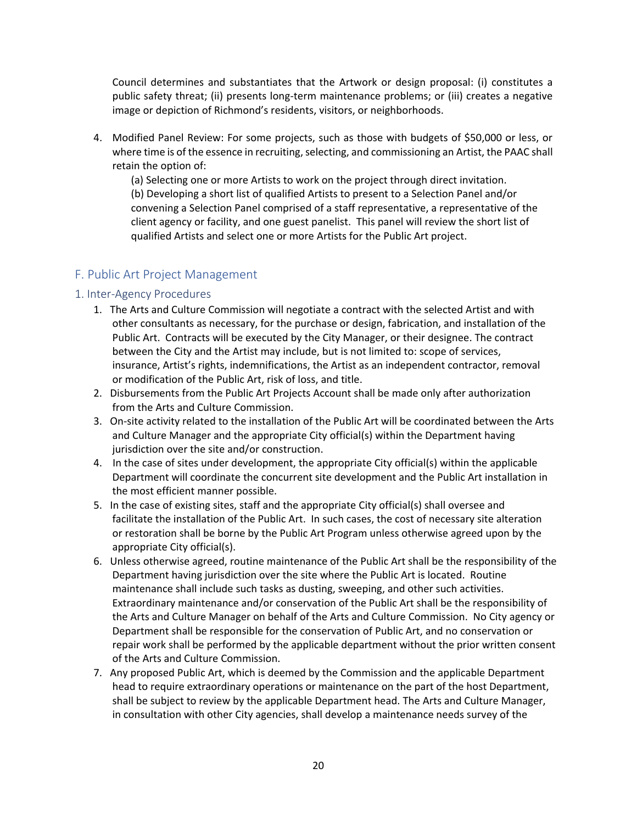Council determines and substantiates that the Artwork or design proposal: (i) constitutes a public safety threat; (ii) presents long-term maintenance problems; or (iii) creates a negative image or depiction of Richmond's residents, visitors, or neighborhoods.

4. Modified Panel Review: For some projects, such as those with budgets of \$50,000 or less, or where time is of the essence in recruiting, selecting, and commissioning an Artist, the PAAC shall retain the option of:

(a) Selecting one or more Artists to work on the project through direct invitation. (b) Developing a short list of qualified Artists to present to a Selection Panel and/or convening a Selection Panel comprised of a staff representative, a representative of the client agency or facility, and one guest panelist. This panel will review the short list of qualified Artists and select one or more Artists for the Public Art project.

### <span id="page-21-0"></span>F. Public Art Project Management

#### <span id="page-21-1"></span>1. Inter-Agency Procedures

- 1. The Arts and Culture Commission will negotiate a contract with the selected Artist and with other consultants as necessary, for the purchase or design, fabrication, and installation of the Public Art. Contracts will be executed by the City Manager, or their designee. The contract between the City and the Artist may include, but is not limited to: scope of services, insurance, Artist's rights, indemnifications, the Artist as an independent contractor, removal or modification of the Public Art, risk of loss, and title.
- 2. Disbursements from the Public Art Projects Account shall be made only after authorization from the Arts and Culture Commission.
- 3. On-site activity related to the installation of the Public Art will be coordinated between the Arts and Culture Manager and the appropriate City official(s) within the Department having jurisdiction over the site and/or construction.
- 4. In the case of sites under development, the appropriate City official(s) within the applicable Department will coordinate the concurrent site development and the Public Art installation in the most efficient manner possible.
- 5. In the case of existing sites, staff and the appropriate City official(s) shall oversee and facilitate the installation of the Public Art. In such cases, the cost of necessary site alteration or restoration shall be borne by the Public Art Program unless otherwise agreed upon by the appropriate City official(s).
- 6. Unless otherwise agreed, routine maintenance of the Public Art shall be the responsibility of the Department having jurisdiction over the site where the Public Art is located. Routine maintenance shall include such tasks as dusting, sweeping, and other such activities. Extraordinary maintenance and/or conservation of the Public Art shall be the responsibility of the Arts and Culture Manager on behalf of the Arts and Culture Commission. No City agency or Department shall be responsible for the conservation of Public Art, and no conservation or repair work shall be performed by the applicable department without the prior written consent of the Arts and Culture Commission.
- 7. Any proposed Public Art, which is deemed by the Commission and the applicable Department head to require extraordinary operations or maintenance on the part of the host Department, shall be subject to review by the applicable Department head. The Arts and Culture Manager, in consultation with other City agencies, shall develop a maintenance needs survey of the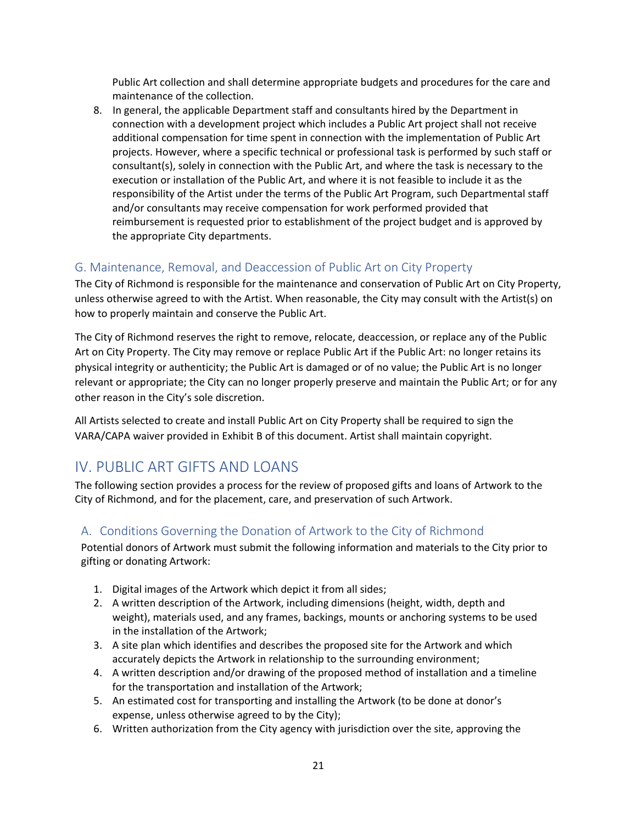Public Art collection and shall determine appropriate budgets and procedures for the care and maintenance of the collection.

8. In general, the applicable Department staff and consultants hired by the Department in connection with a development project which includes a Public Art project shall not receive additional compensation for time spent in connection with the implementation of Public Art projects. However, where a specific technical or professional task is performed by such staff or consultant(s), solely in connection with the Public Art, and where the task is necessary to the execution or installation of the Public Art, and where it is not feasible to include it as the responsibility of the Artist under the terms of the Public Art Program, such Departmental staff and/or consultants may receive compensation for work performed provided that reimbursement is requested prior to establishment of the project budget and is approved by the appropriate City departments.

## <span id="page-22-0"></span>G. Maintenance, Removal, and Deaccession of Public Art on City Property

The City of Richmond is responsible for the maintenance and conservation of Public Art on City Property, unless otherwise agreed to with the Artist. When reasonable, the City may consult with the Artist(s) on how to properly maintain and conserve the Public Art.

The City of Richmond reserves the right to remove, relocate, deaccession, or replace any of the Public Art on City Property. The City may remove or replace Public Art if the Public Art: no longer retains its physical integrity or authenticity; the Public Art is damaged or of no value; the Public Art is no longer relevant or appropriate; the City can no longer properly preserve and maintain the Public Art; or for any other reason in the City's sole discretion.

All Artists selected to create and install Public Art on City Property shall be required to sign the VARA/CAPA waiver provided in Exhibit B of this document. Artist shall maintain copyright.

# <span id="page-22-1"></span>IV. PUBLIC ART GIFTS AND LOANS

The following section provides a process for the review of proposed gifts and loans of Artwork to the City of Richmond, and for the placement, care, and preservation of such Artwork.

### <span id="page-22-2"></span>A. Conditions Governing the Donation of Artwork to the City of Richmond

Potential donors of Artwork must submit the following information and materials to the City prior to gifting or donating Artwork:

- 1. Digital images of the Artwork which depict it from all sides;
- 2. A written description of the Artwork, including dimensions (height, width, depth and weight), materials used, and any frames, backings, mounts or anchoring systems to be used in the installation of the Artwork;
- 3. A site plan which identifies and describes the proposed site for the Artwork and which accurately depicts the Artwork in relationship to the surrounding environment;
- 4. A written description and/or drawing of the proposed method of installation and a timeline for the transportation and installation of the Artwork;
- 5. An estimated cost for transporting and installing the Artwork (to be done at donor's expense, unless otherwise agreed to by the City);
- 6. Written authorization from the City agency with jurisdiction over the site, approving the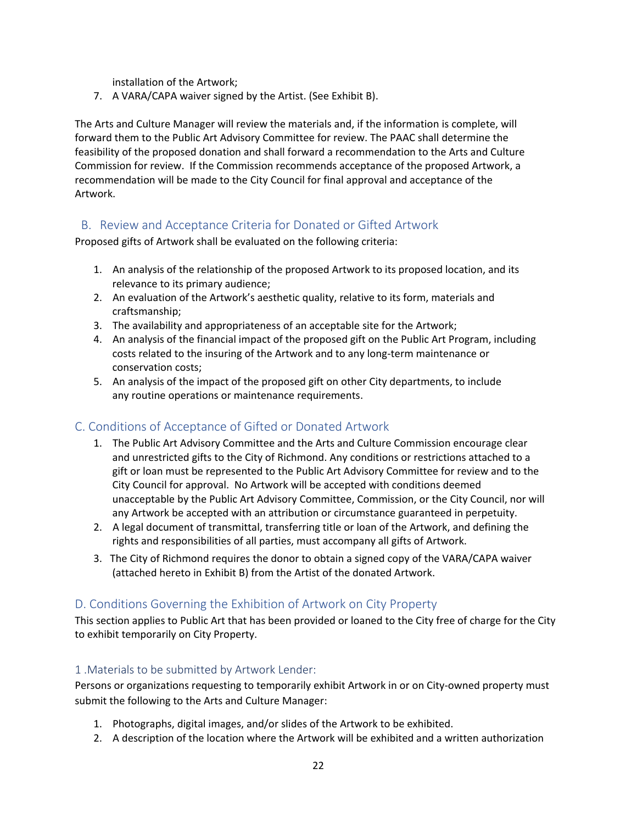installation of the Artwork;

7. A VARA/CAPA waiver signed by the Artist. (See Exhibit B).

The Arts and Culture Manager will review the materials and, if the information is complete, will forward them to the Public Art Advisory Committee for review. The PAAC shall determine the feasibility of the proposed donation and shall forward a recommendation to the Arts and Culture Commission for review. If the Commission recommends acceptance of the proposed Artwork, a recommendation will be made to the City Council for final approval and acceptance of the Artwork.

## <span id="page-23-0"></span>B. Review and Acceptance Criteria for Donated or Gifted Artwork

Proposed gifts of Artwork shall be evaluated on the following criteria:

- 1. An analysis of the relationship of the proposed Artwork to its proposed location, and its relevance to its primary audience;
- 2. An evaluation of the Artwork's aesthetic quality, relative to its form, materials and craftsmanship;
- 3. The availability and appropriateness of an acceptable site for the Artwork;
- 4. An analysis of the financial impact of the proposed gift on the Public Art Program, including costs related to the insuring of the Artwork and to any long-term maintenance or conservation costs;
- 5. An analysis of the impact of the proposed gift on other City departments, to include any routine operations or maintenance requirements.

# <span id="page-23-1"></span>C. Conditions of Acceptance of Gifted or Donated Artwork

- 1. The Public Art Advisory Committee and the Arts and Culture Commission encourage clear and unrestricted gifts to the City of Richmond. Any conditions or restrictions attached to a gift or loan must be represented to the Public Art Advisory Committee for review and to the City Council for approval. No Artwork will be accepted with conditions deemed unacceptable by the Public Art Advisory Committee, Commission, or the City Council, nor will any Artwork be accepted with an attribution or circumstance guaranteed in perpetuity.
- 2. A legal document of transmittal, transferring title or loan of the Artwork, and defining the rights and responsibilities of all parties, must accompany all gifts of Artwork.
- 3. The City of Richmond requires the donor to obtain a signed copy of the VARA/CAPA waiver (attached hereto in Exhibit B) from the Artist of the donated Artwork.

# <span id="page-23-2"></span>D. Conditions Governing the Exhibition of Artwork on City Property

This section applies to Public Art that has been provided or loaned to the City free of charge for the City to exhibit temporarily on City Property.

### <span id="page-23-3"></span>1 .Materials to be submitted by Artwork Lender:

Persons or organizations requesting to temporarily exhibit Artwork in or on City-owned property must submit the following to the Arts and Culture Manager:

- 1. Photographs, digital images, and/or slides of the Artwork to be exhibited.
- 2. A description of the location where the Artwork will be exhibited and a written authorization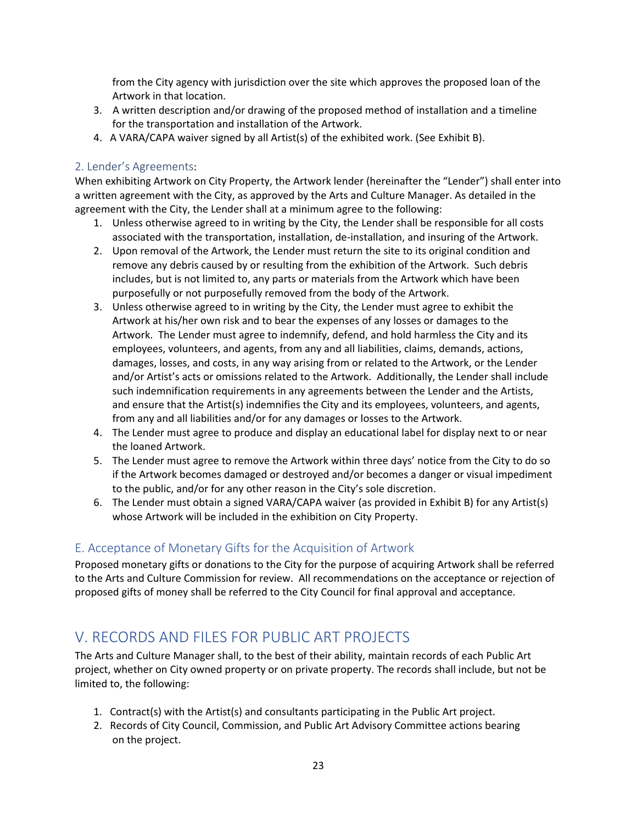from the City agency with jurisdiction over the site which approves the proposed loan of the Artwork in that location.

- 3. A written description and/or drawing of the proposed method of installation and a timeline for the transportation and installation of the Artwork.
- 4. A VARA/CAPA waiver signed by all Artist(s) of the exhibited work. (See Exhibit B).

#### <span id="page-24-0"></span>2. Lender's Agreements:

When exhibiting Artwork on City Property, the Artwork lender (hereinafter the "Lender") shall enter into a written agreement with the City, as approved by the Arts and Culture Manager. As detailed in the agreement with the City, the Lender shall at a minimum agree to the following:

- 1. Unless otherwise agreed to in writing by the City, the Lender shall be responsible for all costs associated with the transportation, installation, de-installation, and insuring of the Artwork.
- 2. Upon removal of the Artwork, the Lender must return the site to its original condition and remove any debris caused by or resulting from the exhibition of the Artwork. Such debris includes, but is not limited to, any parts or materials from the Artwork which have been purposefully or not purposefully removed from the body of the Artwork.
- 3. Unless otherwise agreed to in writing by the City, the Lender must agree to exhibit the Artwork at his/her own risk and to bear the expenses of any losses or damages to the Artwork. The Lender must agree to indemnify, defend, and hold harmless the City and its employees, volunteers, and agents, from any and all liabilities, claims, demands, actions, damages, losses, and costs, in any way arising from or related to the Artwork, or the Lender and/or Artist's acts or omissions related to the Artwork. Additionally, the Lender shall include such indemnification requirements in any agreements between the Lender and the Artists, and ensure that the Artist(s) indemnifies the City and its employees, volunteers, and agents, from any and all liabilities and/or for any damages or losses to the Artwork.
- 4. The Lender must agree to produce and display an educational label for display next to or near the loaned Artwork.
- 5. The Lender must agree to remove the Artwork within three days' notice from the City to do so if the Artwork becomes damaged or destroyed and/or becomes a danger or visual impediment to the public, and/or for any other reason in the City's sole discretion.
- 6. The Lender must obtain a signed VARA/CAPA waiver (as provided in Exhibit B) for any Artist(s) whose Artwork will be included in the exhibition on City Property.

### <span id="page-24-1"></span>E. Acceptance of Monetary Gifts for the Acquisition of Artwork

Proposed monetary gifts or donations to the City for the purpose of acquiring Artwork shall be referred to the Arts and Culture Commission for review. All recommendations on the acceptance or rejection of proposed gifts of money shall be referred to the City Council for final approval and acceptance.

# <span id="page-24-2"></span>V. RECORDS AND FILES FOR PUBLIC ART PROJECTS

The Arts and Culture Manager shall, to the best of their ability, maintain records of each Public Art project, whether on City owned property or on private property. The records shall include, but not be limited to, the following:

- 1. Contract(s) with the Artist(s) and consultants participating in the Public Art project.
- 2. Records of City Council, Commission, and Public Art Advisory Committee actions bearing on the project.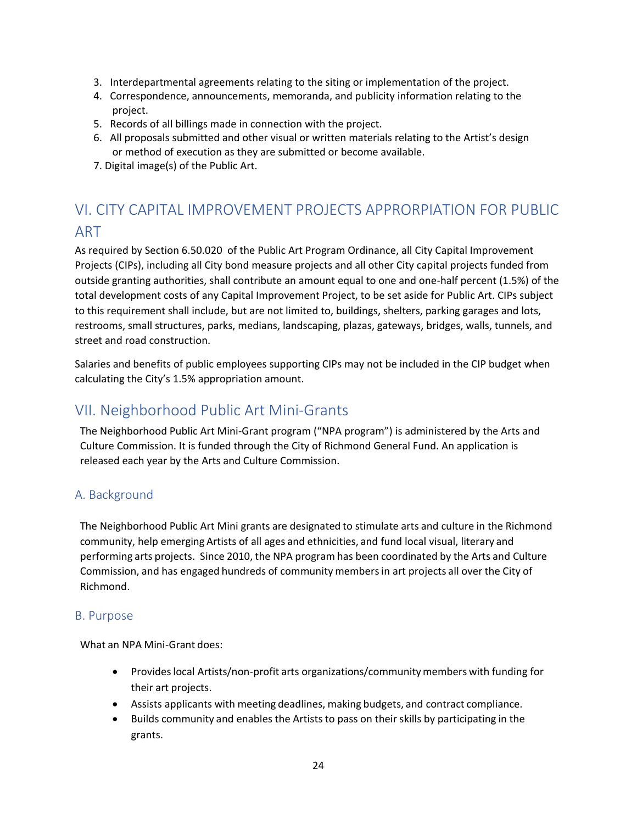- 3. Interdepartmental agreements relating to the siting or implementation of the project.
- 4. Correspondence, announcements, memoranda, and publicity information relating to the project.
- 5. Records of all billings made in connection with the project.
- 6. All proposals submitted and other visual or written materials relating to the Artist's design or method of execution as they are submitted or become available.
- 7. Digital image(s) of the Public Art.

# <span id="page-25-0"></span>VI. CITY CAPITAL IMPROVEMENT PROJECTS APPRORPIATION FOR PUBLIC ART

As required by Section 6.50.020 of the Public Art Program Ordinance, all City Capital Improvement Projects (CIPs), including all City bond measure projects and all other City capital projects funded from outside granting authorities, shall contribute an amount equal to one and one-half percent (1.5%) of the total development costs of any Capital Improvement Project, to be set aside for Public Art. CIPs subject to this requirement shall include, but are not limited to, buildings, shelters, parking garages and lots, restrooms, small structures, parks, medians, landscaping, plazas, gateways, bridges, walls, tunnels, and street and road construction.

Salaries and benefits of public employees supporting CIPs may not be included in the CIP budget when calculating the City's 1.5% appropriation amount.

# <span id="page-25-1"></span>VII. Neighborhood Public Art Mini-Grants

The Neighborhood Public Art Mini-Grant program ("NPA program") is administered by the Arts and Culture Commission. It is funded through the City of Richmond General Fund. An application is released each year by the Arts and Culture Commission.

# <span id="page-25-2"></span>A. Background

The Neighborhood Public Art Mini grants are designated to stimulate arts and culture in the Richmond community, help emerging Artists of all ages and ethnicities, and fund local visual, literary and performing arts projects. Since 2010, the NPA program has been coordinated by the Arts and Culture Commission, and has engaged hundreds of community membersin art projects all over the City of Richmond.

### <span id="page-25-3"></span>B. Purpose

What an NPA Mini-Grant does:

- Provides local Artists/non-profit arts organizations/community members with funding for their art projects.
- Assists applicants with meeting deadlines, making budgets, and contract compliance.
- Builds community and enables the Artists to pass on their skills by participating in the grants.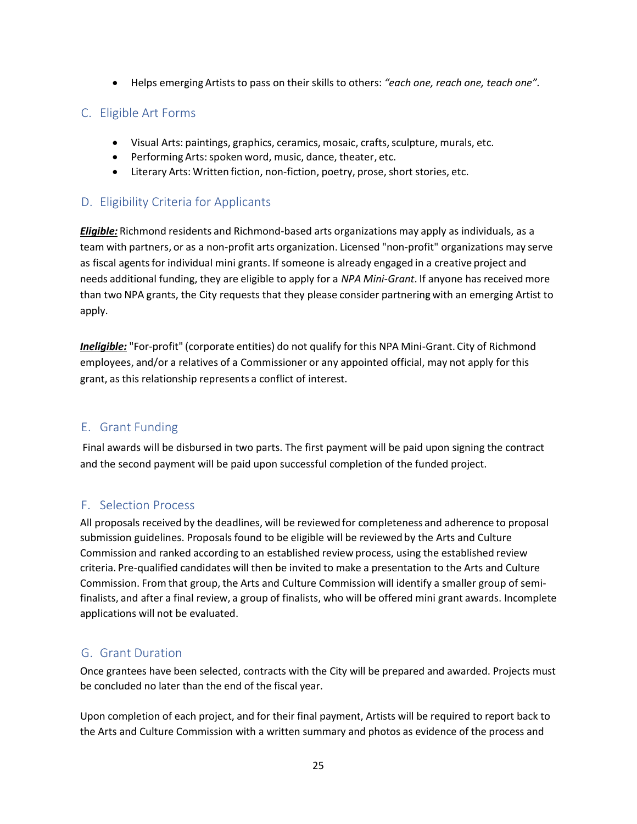• Helps emerging Artists to pass on their skills to others: *"each one, reach one, teach one".*

# <span id="page-26-0"></span>C. Eligible Art Forms

- Visual Arts: paintings, graphics, ceramics, mosaic, crafts, sculpture, murals, etc.
- Performing Arts: spoken word, music, dance, theater, etc.
- Literary Arts: Written fiction, non-fiction, poetry, prose, short stories, etc.

# <span id="page-26-1"></span>D. Eligibility Criteria for Applicants

*Eligible:* Richmond residents and Richmond-based arts organizations may apply as individuals, as a team with partners, or as a non-profit arts organization. Licensed "non-profit" organizations may serve as fiscal agents for individual mini grants. If someone is already engaged in a creative project and needs additional funding, they are eligible to apply for a *NPA Mini-Grant*. If anyone has received more than two NPA grants, the City requests that they please consider partnering with an emerging Artist to apply.

*Ineligible:* "For-profit" (corporate entities) do not qualify for this NPA Mini-Grant. City of Richmond employees, and/or a relatives of a Commissioner or any appointed official, may not apply for this grant, as this relationship represents a conflict of interest.

# E. Grant Funding

Final awards will be disbursed in two parts. The first payment will be paid upon signing the contract and the second payment will be paid upon successful completion of the funded project.

# F. Selection Process

All proposals received by the deadlines, will be reviewed for completeness and adherence to proposal submission guidelines. Proposals found to be eligible will be reviewed by the Arts and Culture Commission and ranked according to an established review process, using the established review criteria. Pre-qualified candidates will then be invited to make a presentation to the Arts and Culture Commission. From that group, the Arts and Culture Commission will identify a smaller group of semifinalists, and after a final review, a group of finalists, who will be offered mini grant awards. Incomplete applications will not be evaluated.

# G. Grant Duration

Once grantees have been selected, contracts with the City will be prepared and awarded. Projects must be concluded no later than the end of the fiscal year.

Upon completion of each project, and for their final payment, Artists will be required to report back to the Arts and Culture Commission with a written summary and photos as evidence of the process and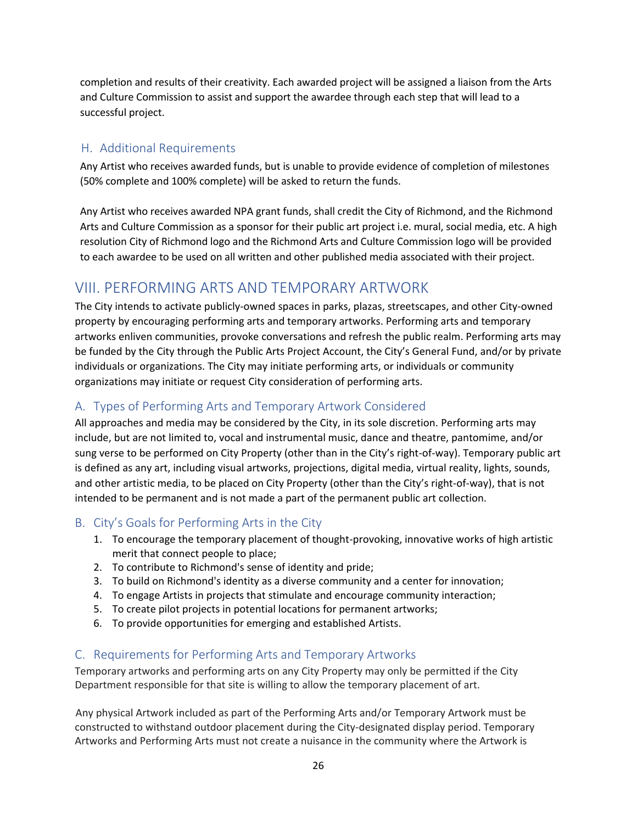completion and results of their creativity. Each awarded project will be assigned a liaison from the Arts and Culture Commission to assist and support the awardee through each step that will lead to a successful project.

# H. Additional Requirements

Any Artist who receives awarded funds, but is unable to provide evidence of completion of milestones (50% complete and 100% complete) will be asked to return the funds.

Any Artist who receives awarded NPA grant funds, shall credit the City of Richmond, and the Richmond Arts and Culture Commission as a sponsor for their public art project i.e. mural, social media, etc. A high resolution City of Richmond logo and the Richmond Arts and Culture Commission logo will be provided to each awardee to be used on all written and other published media associated with their project.

# <span id="page-27-0"></span>VIII. PERFORMING ARTS AND TEMPORARY ARTWORK

The City intends to activate publicly-owned spaces in parks, plazas, streetscapes, and other City-owned property by encouraging performing arts and temporary artworks. Performing arts and temporary artworks enliven communities, provoke conversations and refresh the public realm. Performing arts may be funded by the City through the Public Arts Project Account, the City's General Fund, and/or by private individuals or organizations. The City may initiate performing arts, or individuals or community organizations may initiate or request City consideration of performing arts.

# <span id="page-27-1"></span>A. Types of Performing Arts and Temporary Artwork Considered

All approaches and media may be considered by the City, in its sole discretion. Performing arts may include, but are not limited to, vocal and instrumental music, dance and theatre, pantomime, and/or sung verse to be performed on City Property (other than in the City's right-of-way). Temporary public art is defined as any art, including visual artworks, projections, digital media, virtual reality, lights, sounds, and other artistic media, to be placed on City Property (other than the City's right-of-way), that is not intended to be permanent and is not made a part of the permanent public art collection.

# <span id="page-27-2"></span>B. City's Goals for Performing Arts in the City

- 1. To encourage the temporary placement of thought-provoking, innovative works of high artistic merit that connect people to place;
- 2. To contribute to Richmond's sense of identity and pride;
- 3. To build on Richmond's identity as a diverse community and a center for innovation;
- 4. To engage Artists in projects that stimulate and encourage community interaction;
- 5. To create pilot projects in potential locations for permanent artworks;
- 6. To provide opportunities for emerging and established Artists.

# <span id="page-27-3"></span>C. Requirements for Performing Arts and Temporary Artworks

Temporary artworks and performing arts on any City Property may only be permitted if the City Department responsible for that site is willing to allow the temporary placement of art.

Any physical Artwork included as part of the Performing Arts and/or Temporary Artwork must be constructed to withstand outdoor placement during the City-designated display period. Temporary Artworks and Performing Arts must not create a nuisance in the community where the Artwork is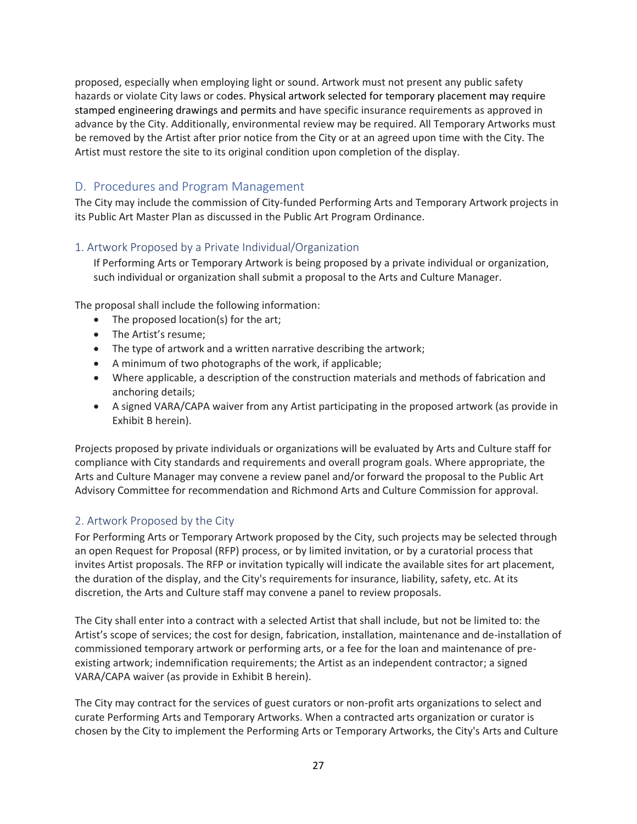proposed, especially when employing light or sound. Artwork must not present any public safety hazards or violate City laws or codes. Physical artwork selected for temporary placement may require stamped engineering drawings and permits and have specific insurance requirements as approved in advance by the City. Additionally, environmental review may be required. All Temporary Artworks must be removed by the Artist after prior notice from the City or at an agreed upon time with the City. The Artist must restore the site to its original condition upon completion of the display.

## <span id="page-28-0"></span>D. Procedures and Program Management

The City may include the commission of City-funded Performing Arts and Temporary Artwork projects in its Public Art Master Plan as discussed in the Public Art Program Ordinance.

#### <span id="page-28-1"></span>1. Artwork Proposed by a Private Individual/Organization

If Performing Arts or Temporary Artwork is being proposed by a private individual or organization, such individual or organization shall submit a proposal to the Arts and Culture Manager.

The proposal shall include the following information:

- The proposed location(s) for the art;
- The Artist's resume;
- The type of artwork and a written narrative describing the artwork;
- A minimum of two photographs of the work, if applicable;
- Where applicable, a description of the construction materials and methods of fabrication and anchoring details;
- A signed VARA/CAPA waiver from any Artist participating in the proposed artwork (as provide in Exhibit B herein).

Projects proposed by private individuals or organizations will be evaluated by Arts and Culture staff for compliance with City standards and requirements and overall program goals. Where appropriate, the Arts and Culture Manager may convene a review panel and/or forward the proposal to the Public Art Advisory Committee for recommendation and Richmond Arts and Culture Commission for approval.

#### <span id="page-28-2"></span>2. Artwork Proposed by the City

For Performing Arts or Temporary Artwork proposed by the City, such projects may be selected through an open Request for Proposal (RFP) process, or by limited invitation, or by a curatorial process that invites Artist proposals. The RFP or invitation typically will indicate the available sites for art placement, the duration of the display, and the City's requirements for insurance, liability, safety, etc. At its discretion, the Arts and Culture staff may convene a panel to review proposals.

The City shall enter into a contract with a selected Artist that shall include, but not be limited to: the Artist's scope of services; the cost for design, fabrication, installation, maintenance and de-installation of commissioned temporary artwork or performing arts, or a fee for the loan and maintenance of preexisting artwork; indemnification requirements; the Artist as an independent contractor; a signed VARA/CAPA waiver (as provide in Exhibit B herein).

The City may contract for the services of guest curators or non-profit arts organizations to select and curate Performing Arts and Temporary Artworks. When a contracted arts organization or curator is chosen by the City to implement the Performing Arts or Temporary Artworks, the City's Arts and Culture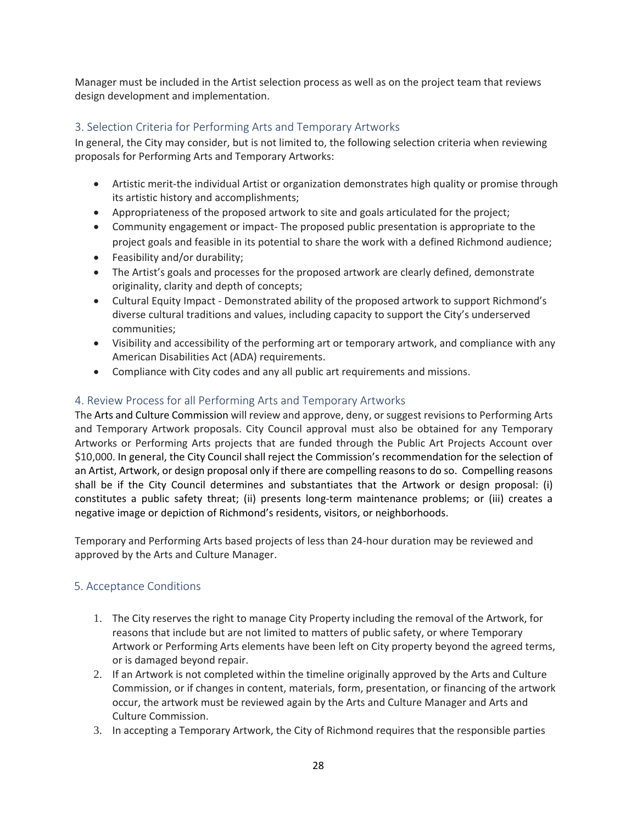Manager must be included in the Artist selection process as well as on the project team that reviews design development and implementation.

#### <span id="page-29-0"></span>3. Selection Criteria for Performing Arts and Temporary Artworks

In general, the City may consider, but is not limited to, the following selection criteria when reviewing proposals for Performing Arts and Temporary Artworks:

- Artistic merit-the individual Artist or organization demonstrates high quality or promise through its artistic history and accomplishments;
- Appropriateness of the proposed artwork to site and goals articulated for the project;
- Community engagement or impact- The proposed public presentation is appropriate to the project goals and feasible in its potential to share the work with a defined Richmond audience;
- Feasibility and/or durability;
- The Artist's goals and processes for the proposed artwork are clearly defined, demonstrate originality, clarity and depth of concepts;
- Cultural Equity Impact Demonstrated ability of the proposed artwork to support Richmond's diverse cultural traditions and values, including capacity to support the City's underserved communities;
- Visibility and accessibility of the performing art or temporary artwork, and compliance with any American Disabilities Act (ADA) requirements.
- Compliance with City codes and any all public art requirements and missions.

#### 4. Review Process for all Performing Arts and Temporary Artworks

The Arts and Culture Commission will review and approve, deny, or suggest revisions to Performing Arts and Temporary Artwork proposals. City Council approval must also be obtained for any Temporary Artworks or Performing Arts projects that are funded through the Public Art Projects Account over \$10,000. In general, the City Council shall reject the Commission's recommendation for the selection of an Artist, Artwork, or design proposal only if there are compelling reasons to do so. Compelling reasons shall be if the City Council determines and substantiates that the Artwork or design proposal: (i) constitutes a public safety threat; (ii) presents long-term maintenance problems; or (iii) creates a negative image or depiction of Richmond's residents, visitors, or neighborhoods.

Temporary and Performing Arts based projects of less than 24-hour duration may be reviewed and approved by the Arts and Culture Manager.

#### 5. Acceptance Conditions

- 1. The City reserves the right to manage City Property including the removal of the Artwork, for reasons that include but are not limited to matters of public safety, or where Temporary Artwork or Performing Arts elements have been left on City property beyond the agreed terms, or is damaged beyond repair.
- 2. If an Artwork is not completed within the timeline originally approved by the Arts and Culture Commission, or if changes in content, materials, form, presentation, or financing of the artwork occur, the artwork must be reviewed again by the Arts and Culture Manager and Arts and Culture Commission.
- 3. In accepting a Temporary Artwork, the City of Richmond requires that the responsible parties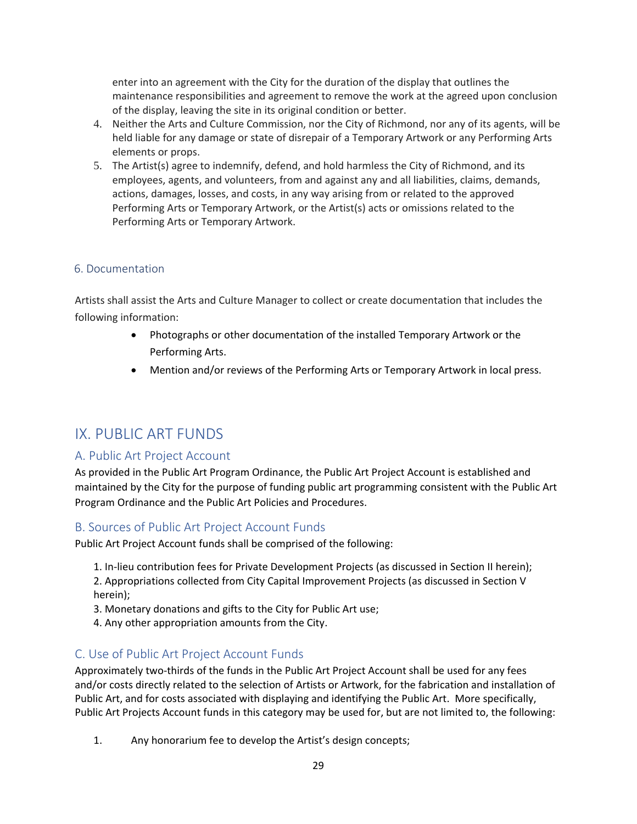enter into an agreement with the City for the duration of the display that outlines the maintenance responsibilities and agreement to remove the work at the agreed upon conclusion of the display, leaving the site in its original condition or better.

- 4. Neither the Arts and Culture Commission, nor the City of Richmond, nor any of its agents, will be held liable for any damage or state of disrepair of a Temporary Artwork or any Performing Arts elements or props.
- 5. The Artist(s) agree to indemnify, defend, and hold harmless the City of Richmond, and its employees, agents, and volunteers, from and against any and all liabilities, claims, demands, actions, damages, losses, and costs, in any way arising from or related to the approved Performing Arts or Temporary Artwork, or the Artist(s) acts or omissions related to the Performing Arts or Temporary Artwork.

#### 6. Documentation

Artists shall assist the Arts and Culture Manager to collect or create documentation that includes the following information:

- Photographs or other documentation of the installed Temporary Artwork or the Performing Arts.
- Mention and/or reviews of the Performing Arts or Temporary Artwork in local press.

# <span id="page-30-0"></span>IX. PUBLIC ART FUNDS

### <span id="page-30-1"></span>A. Public Art Project Account

As provided in the Public Art Program Ordinance, the Public Art Project Account is established and maintained by the City for the purpose of funding public art programming consistent with the Public Art Program Ordinance and the Public Art Policies and Procedures.

### <span id="page-30-2"></span>B. Sources of Public Art Project Account Funds

Public Art Project Account funds shall be comprised of the following:

1. In-lieu contribution fees for Private Development Projects (as discussed in Section II herein);

2. Appropriations collected from City Capital Improvement Projects (as discussed in Section V herein);

- 3. Monetary donations and gifts to the City for Public Art use;
- 4. Any other appropriation amounts from the City.

### <span id="page-30-3"></span>C. Use of Public Art Project Account Funds

Approximately two-thirds of the funds in the Public Art Project Account shall be used for any fees and/or costs directly related to the selection of Artists or Artwork, for the fabrication and installation of Public Art, and for costs associated with displaying and identifying the Public Art. More specifically, Public Art Projects Account funds in this category may be used for, but are not limited to, the following:

1. Any honorarium fee to develop the Artist's design concepts;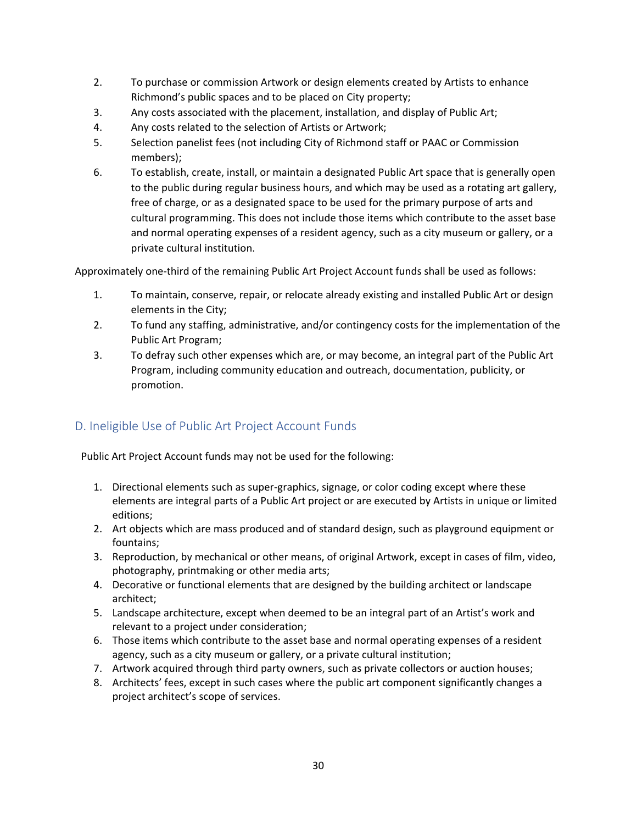- 2. To purchase or commission Artwork or design elements created by Artists to enhance Richmond's public spaces and to be placed on City property;
- 3. Any costs associated with the placement, installation, and display of Public Art;
- 4. Any costs related to the selection of Artists or Artwork;
- 5. Selection panelist fees (not including City of Richmond staff or PAAC or Commission members);
- 6. To establish, create, install, or maintain a designated Public Art space that is generally open to the public during regular business hours, and which may be used as a rotating art gallery, free of charge, or as a designated space to be used for the primary purpose of arts and cultural programming. This does not include those items which contribute to the asset base and normal operating expenses of a resident agency, such as a city museum or gallery, or a private cultural institution.

Approximately one-third of the remaining Public Art Project Account funds shall be used as follows:

- 1. To maintain, conserve, repair, or relocate already existing and installed Public Art or design elements in the City;
- 2. To fund any staffing, administrative, and/or contingency costs for the implementation of the Public Art Program;
- 3. To defray such other expenses which are, or may become, an integral part of the Public Art Program, including community education and outreach, documentation, publicity, or promotion.

# <span id="page-31-0"></span>D. Ineligible Use of Public Art Project Account Funds

Public Art Project Account funds may not be used for the following:

- 1. Directional elements such as super-graphics, signage, or color coding except where these elements are integral parts of a Public Art project or are executed by Artists in unique or limited editions;
- 2. Art objects which are mass produced and of standard design, such as playground equipment or fountains;
- 3. Reproduction, by mechanical or other means, of original Artwork, except in cases of film, video, photography, printmaking or other media arts;
- 4. Decorative or functional elements that are designed by the building architect or landscape architect;
- 5. Landscape architecture, except when deemed to be an integral part of an Artist's work and relevant to a project under consideration;
- 6. Those items which contribute to the asset base and normal operating expenses of a resident agency, such as a city museum or gallery, or a private cultural institution;
- 7. Artwork acquired through third party owners, such as private collectors or auction houses;
- 8. Architects' fees, except in such cases where the public art component significantly changes a project architect's scope of services.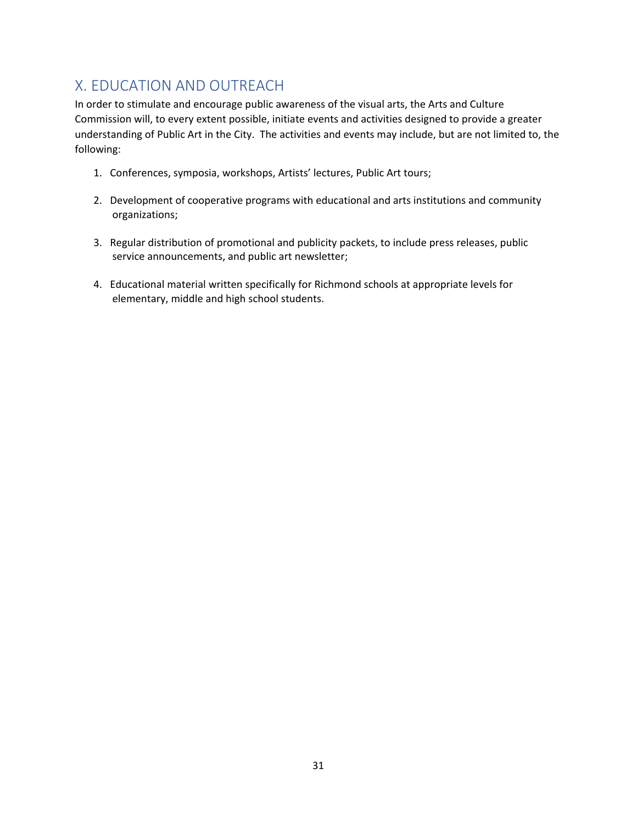# <span id="page-32-0"></span>X. EDUCATION AND OUTREACH

In order to stimulate and encourage public awareness of the visual arts, the Arts and Culture Commission will, to every extent possible, initiate events and activities designed to provide a greater understanding of Public Art in the City. The activities and events may include, but are not limited to, the following:

- 1. Conferences, symposia, workshops, Artists' lectures, Public Art tours;
- 2. Development of cooperative programs with educational and arts institutions and community organizations;
- 3. Regular distribution of promotional and publicity packets, to include press releases, public service announcements, and public art newsletter;
- 4. Educational material written specifically for Richmond schools at appropriate levels for elementary, middle and high school students.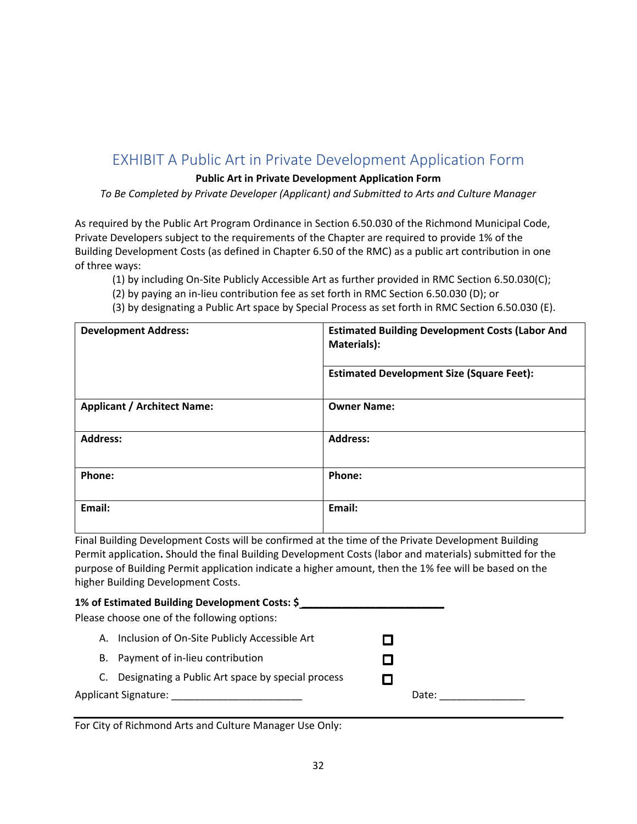# <span id="page-33-0"></span>EXHIBIT A Public Art in Private Development Application Form

#### **<sup>f</sup>Public Art in Private Development Application Form**

*To Be Completed by Private Developer (Applicant) and Submitted to Arts and Culture Manager*

As required by the Public Art Program Ordinance in Section 6.50.030 of the Richmond Municipal Code, Private Developers subject to the requirements of the Chapter are required to provide 1% of the Building Development Costs (as defined in Chapter 6.50 of the RMC) as a public art contribution in one of three ways:

(1) by including On-Site Publicly Accessible Art as further provided in RMC Section 6.50.030(C);

(2) by paying an in-lieu contribution fee as set forth in RMC Section 6.50.030 (D); or

(3) by designating a Public Art space by Special Process as set forth in RMC Section 6.50.030 (E).

| <b>Development Address:</b>        | <b>Estimated Building Development Costs (Labor And</b><br>Materials): |  |  |
|------------------------------------|-----------------------------------------------------------------------|--|--|
|                                    | <b>Estimated Development Size (Square Feet):</b>                      |  |  |
| <b>Applicant / Architect Name:</b> | <b>Owner Name:</b>                                                    |  |  |
| <b>Address:</b>                    | <b>Address:</b>                                                       |  |  |
| Phone:                             | Phone:                                                                |  |  |
| Email:                             | Email:                                                                |  |  |

Final Building Development Costs will be confirmed at the time of the Private Development Building Permit application**.** Should the final Building Development Costs (labor and materials) submitted for the purpose of Building Permit application indicate a higher amount, then the 1% fee will be based on the higher Building Development Costs.

#### **1% of Estimated Building Development Costs: \$ \_\_\_\_\_\_\_\_\_\_\_\_\_\_\_\_\_\_\_\_\_\_\_\_\_**

Please choose one of the following options:

| А. | Inclusion of On-Site Publicly Accessible Art |  |
|----|----------------------------------------------|--|
|----|----------------------------------------------|--|

- B. Payment of in-lieu contribution
- C. Designating a Public Art space by special process

Applicant Signature:

| П |       |  |
|---|-------|--|
|   | Date: |  |

 $\Box$ П.

For City of Richmond Arts and Culture Manager Use Only: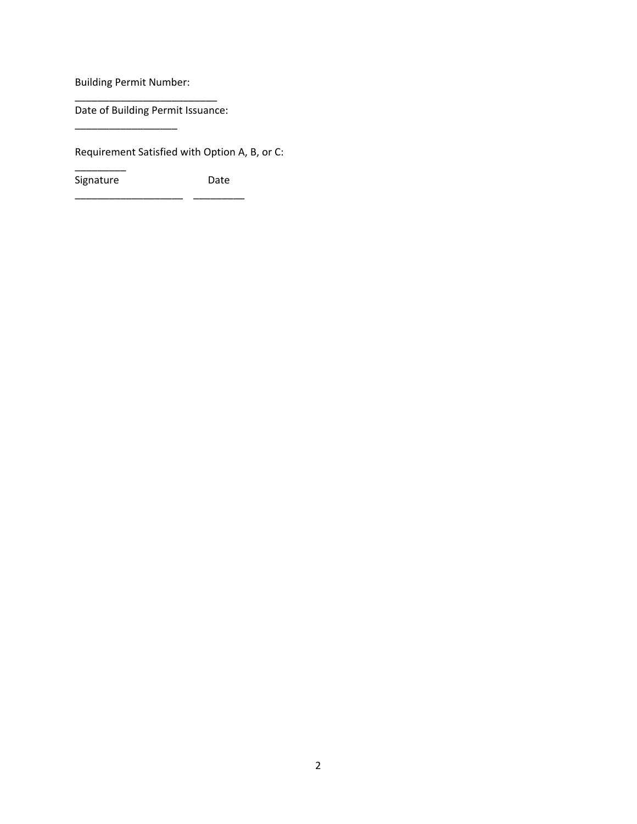Building Permit Number:

\_\_\_\_\_\_\_\_\_\_\_\_\_\_\_\_\_\_

\_\_\_\_\_\_\_\_\_

\_\_\_\_\_\_\_\_\_\_\_\_\_\_\_\_\_\_\_\_\_\_\_\_\_ Date of Building Permit Issuance:

Requirement Satisfied with Option A, B, or C:

Signature **Date** \_\_\_\_\_\_\_\_\_\_\_\_\_\_\_\_\_\_\_ \_\_\_\_\_\_\_\_\_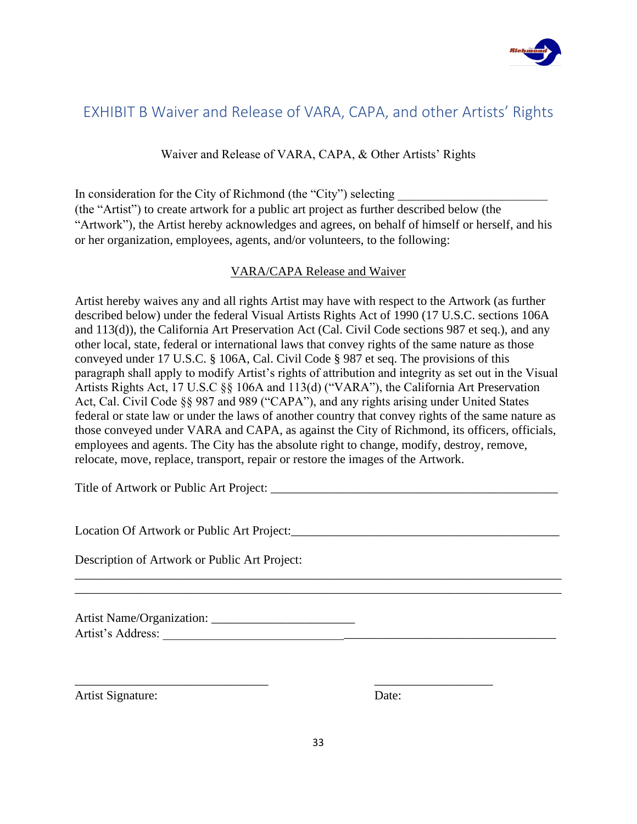

# <span id="page-35-0"></span>EXHIBIT B Waiver and Release of VARA, CAPA, and other Artists' Rights

Waiver and Release of VARA, CAPA, & Other Artists' Rights

In consideration for the City of Richmond (the "City") selecting (the "Artist") to create artwork for a public art project as further described below (the "Artwork"), the Artist hereby acknowledges and agrees, on behalf of himself or herself, and his or her organization, employees, agents, and/or volunteers, to the following:

### VARA/CAPA Release and Waiver

Artist hereby waives any and all rights Artist may have with respect to the Artwork (as further described below) under the federal Visual Artists Rights Act of 1990 (17 U.S.C. sections 106A and 113(d)), the California Art Preservation Act (Cal. Civil Code sections 987 et seq.), and any other local, state, federal or international laws that convey rights of the same nature as those conveyed under 17 U.S.C. § 106A, Cal. Civil Code § 987 et seq. The provisions of this paragraph shall apply to modify Artist's rights of attribution and integrity as set out in the Visual Artists Rights Act, 17 U.S.C §§ 106A and 113(d) ("VARA"), the California Art Preservation Act, Cal. Civil Code §§ 987 and 989 ("CAPA"), and any rights arising under United States federal or state law or under the laws of another country that convey rights of the same nature as those conveyed under VARA and CAPA, as against the City of Richmond, its officers, officials, employees and agents. The City has the absolute right to change, modify, destroy, remove, relocate, move, replace, transport, repair or restore the images of the Artwork.

Title of Artwork or Public Art Project:

Location Of Artwork or Public Art Project:\_\_\_\_\_\_\_\_\_\_\_\_\_\_\_\_\_\_\_\_\_\_\_\_\_\_\_\_\_\_\_\_\_\_\_\_\_\_\_\_\_\_\_

Description of Artwork or Public Art Project:

Artist Name/Organization: \_\_\_\_\_\_\_\_\_\_\_\_\_\_\_\_\_\_\_\_\_\_\_ Artist's Address: \_\_\_\_\_\_\_\_\_\_\_\_\_\_\_\_\_\_\_\_\_\_\_\_\_\_\_\_\_\_\_\_\_\_\_\_\_\_\_\_\_\_\_\_\_\_\_\_\_\_\_\_\_\_\_\_\_\_\_\_\_\_\_

Artist Signature: Date:

 $\overline{\phantom{a}}$  , and the contract of the contract of the contract of the contract of the contract of the contract of the contract of the contract of the contract of the contract of the contract of the contract of the contrac

\_\_\_\_\_\_\_\_\_\_\_\_\_\_\_\_\_\_\_\_\_\_\_\_\_\_\_\_\_\_\_\_\_\_\_\_\_\_\_\_\_\_\_\_\_\_\_\_\_\_\_\_\_\_\_\_\_\_\_\_\_\_\_\_\_\_\_\_\_\_\_\_\_\_\_\_\_\_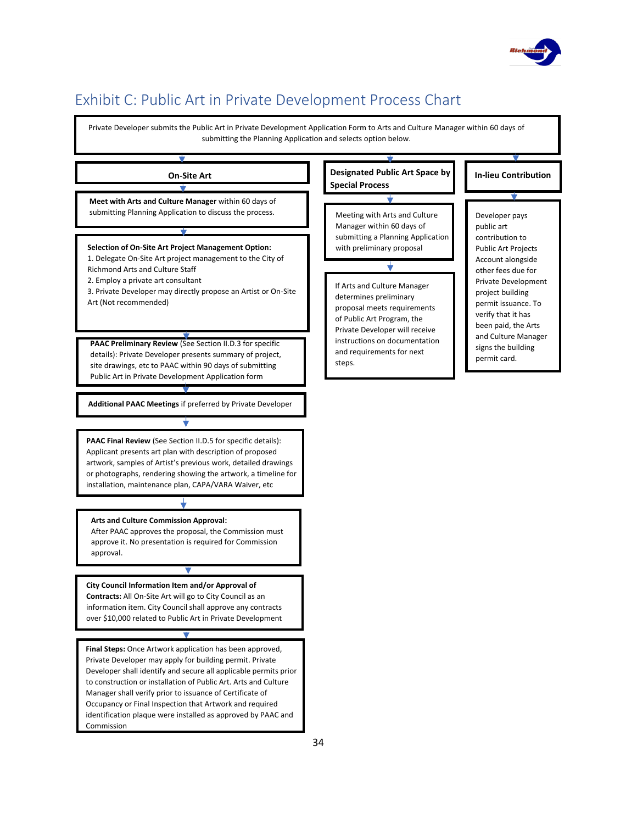

# <span id="page-36-0"></span>Exhibit C: Public Art in Private Development Process Chart